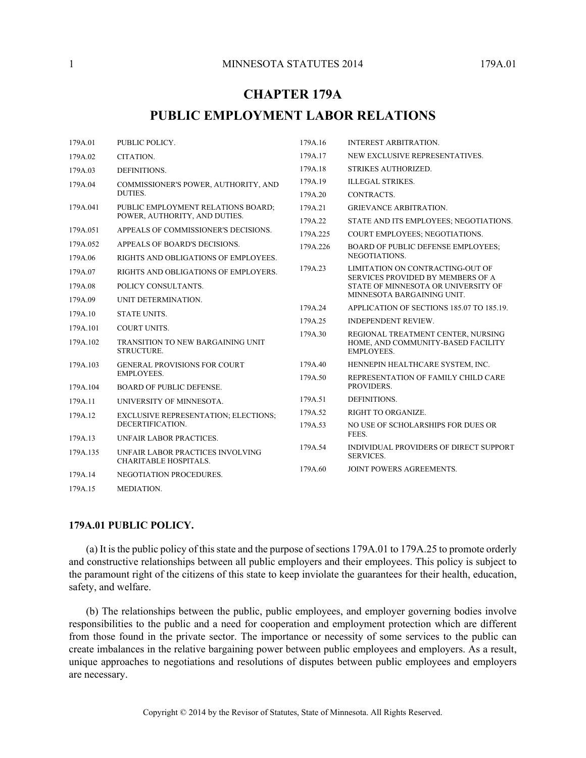# **CHAPTER 179A**

# **PUBLIC EMPLOYMENT LABOR RELATIONS**

| 179A.01  | PUBLIC POLICY.                                                  | 179A.16  | <b>INTEREST ARBITRATION.</b>                                                                                 |
|----------|-----------------------------------------------------------------|----------|--------------------------------------------------------------------------------------------------------------|
| 179A.02  | CITATION.                                                       | 179A.17  | NEW EXCLUSIVE REPRESENTATIVES.                                                                               |
| 179A.03  | DEFINITIONS.                                                    | 179A.18  | STRIKES AUTHORIZED.                                                                                          |
| 179A.04  | COMMISSIONER'S POWER, AUTHORITY, AND<br>DUTIES.                 | 179A.19  | <b>ILLEGAL STRIKES.</b>                                                                                      |
|          |                                                                 | 179A.20  | CONTRACTS.                                                                                                   |
| 179A.041 | PUBLIC EMPLOYMENT RELATIONS BOARD;                              | 179A.21  | <b>GRIEVANCE ARBITRATION.</b>                                                                                |
|          | POWER, AUTHORITY, AND DUTIES.                                   | 179A.22  | STATE AND ITS EMPLOYEES; NEGOTIATIONS.                                                                       |
| 179A.051 | APPEALS OF COMMISSIONER'S DECISIONS.                            | 179A.225 | <b>COURT EMPLOYEES: NEGOTIATIONS.</b>                                                                        |
| 179A.052 | APPEALS OF BOARD'S DECISIONS.                                   | 179A.226 | <b>BOARD OF PUBLIC DEFENSE EMPLOYEES;</b>                                                                    |
| 179A.06  | RIGHTS AND OBLIGATIONS OF EMPLOYEES.                            |          | NEGOTIATIONS.                                                                                                |
| 179A.07  | RIGHTS AND OBLIGATIONS OF EMPLOYERS.                            | 179A.23  | LIMITATION ON CONTRACTING-OUT OF<br>SERVICES PROVIDED BY MEMBERS OF A<br>STATE OF MINNESOTA OR UNIVERSITY OF |
| 179A.08  | POLICY CONSULTANTS.                                             |          |                                                                                                              |
| 179A.09  | UNIT DETERMINATION.                                             |          | MINNESOTA BARGAINING UNIT.                                                                                   |
| 179A.10  | <b>STATE UNITS.</b>                                             | 179A.24  | APPLICATION OF SECTIONS 185.07 TO 185.19.                                                                    |
| 179A.101 | <b>COURT UNITS.</b>                                             | 179A.25  | <b>INDEPENDENT REVIEW.</b>                                                                                   |
| 179A.102 | <b>TRANSITION TO NEW BARGAINING UNIT</b>                        | 179A.30  | REGIONAL TREATMENT CENTER, NURSING<br>HOME, AND COMMUNITY-BASED FACILITY<br><b>EMPLOYEES.</b>                |
|          | STRUCTURE.                                                      |          |                                                                                                              |
| 179A.103 | <b>GENERAL PROVISIONS FOR COURT</b><br><b>EMPLOYEES.</b>        | 179A.40  | HENNEPIN HEALTHCARE SYSTEM, INC.                                                                             |
|          |                                                                 | 179A.50  | REPRESENTATION OF FAMILY CHILD CARE                                                                          |
| 179A.104 | <b>BOARD OF PUBLIC DEFENSE.</b>                                 |          | PROVIDERS.                                                                                                   |
| 179A.11  | UNIVERSITY OF MINNESOTA.                                        | 179A.51  | DEFINITIONS.                                                                                                 |
| 179A.12  | <b>EXCLUSIVE REPRESENTATION; ELECTIONS;</b><br>DECERTIFICATION. | 179A.52  | <b>RIGHT TO ORGANIZE.</b>                                                                                    |
|          |                                                                 | 179A.53  | NO USE OF SCHOLARSHIPS FOR DUES OR                                                                           |
| 179A.13  | UNFAIR LABOR PRACTICES.                                         |          | FEES.                                                                                                        |
| 179A.135 | UNFAIR LABOR PRACTICES INVOLVING<br>CHARITABLE HOSPITALS.       | 179A.54  | INDIVIDUAL PROVIDERS OF DIRECT SUPPORT<br><b>SERVICES.</b>                                                   |
| 179A.14  | NEGOTIATION PROCEDURES.                                         | 179A.60  | <b>JOINT POWERS AGREEMENTS.</b>                                                                              |
| 179A.15  | MEDIATION.                                                      |          |                                                                                                              |

#### **179A.01 PUBLIC POLICY.**

(a) It is the public policy of this state and the purpose of sections 179A.01 to 179A.25 to promote orderly and constructive relationships between all public employers and their employees. This policy is subject to the paramount right of the citizens of this state to keep inviolate the guarantees for their health, education, safety, and welfare.

(b) The relationships between the public, public employees, and employer governing bodies involve responsibilities to the public and a need for cooperation and employment protection which are different from those found in the private sector. The importance or necessity of some services to the public can create imbalances in the relative bargaining power between public employees and employers. As a result, unique approaches to negotiations and resolutions of disputes between public employees and employers are necessary.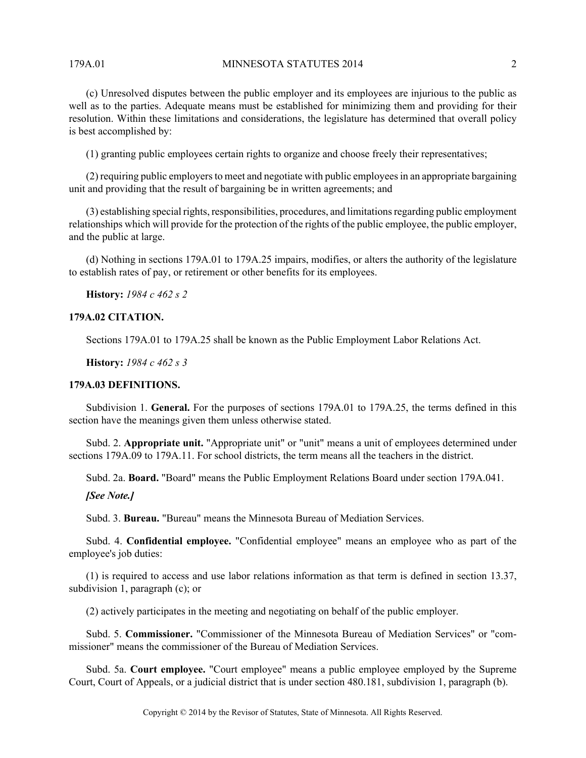179A.01 MINNESOTA STATUTES 2014 2

(c) Unresolved disputes between the public employer and its employees are injurious to the public as well as to the parties. Adequate means must be established for minimizing them and providing for their resolution. Within these limitations and considerations, the legislature has determined that overall policy is best accomplished by:

(1) granting public employees certain rights to organize and choose freely their representatives;

(2) requiring public employers to meet and negotiate with public employees in an appropriate bargaining unit and providing that the result of bargaining be in written agreements; and

(3) establishing special rights, responsibilities, procedures, and limitations regarding public employment relationships which will provide for the protection of the rights of the public employee, the public employer, and the public at large.

(d) Nothing in sections 179A.01 to 179A.25 impairs, modifies, or alters the authority of the legislature to establish rates of pay, or retirement or other benefits for its employees.

**History:** *1984 c 462 s 2*

## **179A.02 CITATION.**

Sections 179A.01 to 179A.25 shall be known as the Public Employment Labor Relations Act.

**History:** *1984 c 462 s 3*

## **179A.03 DEFINITIONS.**

Subdivision 1. **General.** For the purposes of sections 179A.01 to 179A.25, the terms defined in this section have the meanings given them unless otherwise stated.

Subd. 2. **Appropriate unit.** "Appropriate unit" or "unit" means a unit of employees determined under sections 179A.09 to 179A.11. For school districts, the term means all the teachers in the district.

Subd. 2a. **Board.** "Board" means the Public Employment Relations Board under section 179A.041.

*[See Note.]*

Subd. 3. **Bureau.** "Bureau" means the Minnesota Bureau of Mediation Services.

Subd. 4. **Confidential employee.** "Confidential employee" means an employee who as part of the employee's job duties:

(1) is required to access and use labor relations information as that term is defined in section 13.37, subdivision 1, paragraph (c); or

(2) actively participates in the meeting and negotiating on behalf of the public employer.

Subd. 5. **Commissioner.** "Commissioner of the Minnesota Bureau of Mediation Services" or "commissioner" means the commissioner of the Bureau of Mediation Services.

Subd. 5a. **Court employee.** "Court employee" means a public employee employed by the Supreme Court, Court of Appeals, or a judicial district that is under section 480.181, subdivision 1, paragraph (b).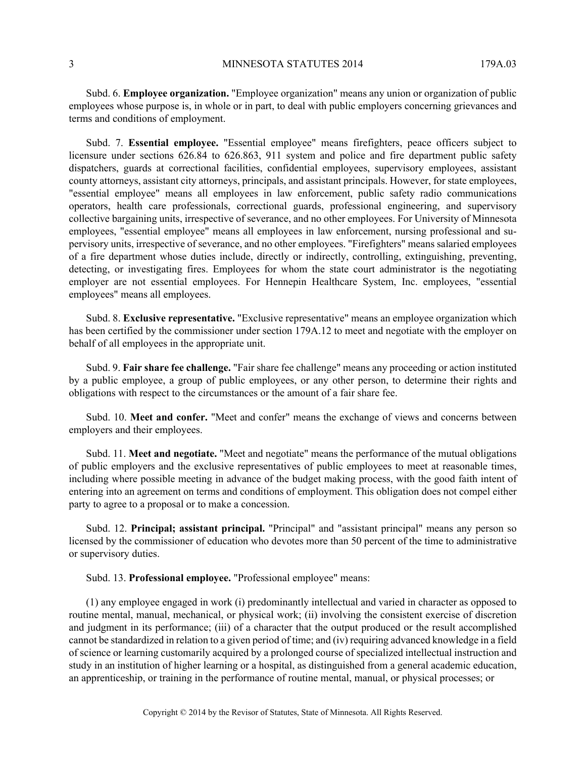## 3 MINNESOTA STATUTES 2014 179A.03

Subd. 6. **Employee organization.** "Employee organization" means any union or organization of public employees whose purpose is, in whole or in part, to deal with public employers concerning grievances and terms and conditions of employment.

Subd. 7. **Essential employee.** "Essential employee" means firefighters, peace officers subject to licensure under sections 626.84 to 626.863, 911 system and police and fire department public safety dispatchers, guards at correctional facilities, confidential employees, supervisory employees, assistant county attorneys, assistant city attorneys, principals, and assistant principals. However, for state employees, "essential employee" means all employees in law enforcement, public safety radio communications operators, health care professionals, correctional guards, professional engineering, and supervisory collective bargaining units, irrespective of severance, and no other employees. For University of Minnesota employees, "essential employee" means all employees in law enforcement, nursing professional and supervisory units, irrespective of severance, and no other employees. "Firefighters" means salaried employees of a fire department whose duties include, directly or indirectly, controlling, extinguishing, preventing, detecting, or investigating fires. Employees for whom the state court administrator is the negotiating employer are not essential employees. For Hennepin Healthcare System, Inc. employees, "essential employees" means all employees.

Subd. 8. **Exclusive representative.** "Exclusive representative" means an employee organization which has been certified by the commissioner under section 179A.12 to meet and negotiate with the employer on behalf of all employees in the appropriate unit.

Subd. 9. **Fair share fee challenge.** "Fair share fee challenge" means any proceeding or action instituted by a public employee, a group of public employees, or any other person, to determine their rights and obligations with respect to the circumstances or the amount of a fair share fee.

Subd. 10. **Meet and confer.** "Meet and confer" means the exchange of views and concerns between employers and their employees.

Subd. 11. **Meet and negotiate.** "Meet and negotiate" means the performance of the mutual obligations of public employers and the exclusive representatives of public employees to meet at reasonable times, including where possible meeting in advance of the budget making process, with the good faith intent of entering into an agreement on terms and conditions of employment. This obligation does not compel either party to agree to a proposal or to make a concession.

Subd. 12. **Principal; assistant principal.** "Principal" and "assistant principal" means any person so licensed by the commissioner of education who devotes more than 50 percent of the time to administrative or supervisory duties.

Subd. 13. **Professional employee.** "Professional employee" means:

(1) any employee engaged in work (i) predominantly intellectual and varied in character as opposed to routine mental, manual, mechanical, or physical work; (ii) involving the consistent exercise of discretion and judgment in its performance; (iii) of a character that the output produced or the result accomplished cannot be standardized in relation to a given period of time; and (iv) requiring advanced knowledge in a field of science or learning customarily acquired by a prolonged course of specialized intellectual instruction and study in an institution of higher learning or a hospital, as distinguished from a general academic education, an apprenticeship, or training in the performance of routine mental, manual, or physical processes; or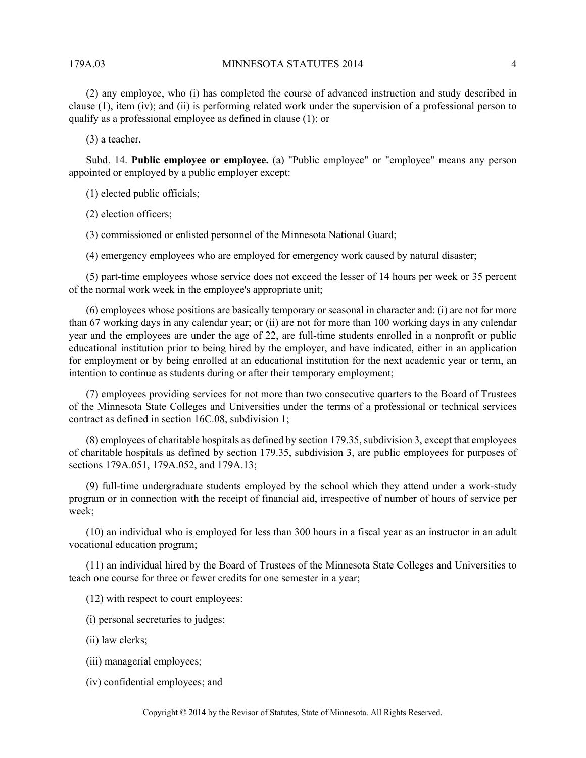#### 179A.03 MINNESOTA STATUTES 2014 4

(2) any employee, who (i) has completed the course of advanced instruction and study described in clause (1), item (iv); and (ii) is performing related work under the supervision of a professional person to qualify as a professional employee as defined in clause (1); or

(3) a teacher.

Subd. 14. **Public employee or employee.** (a) "Public employee" or "employee" means any person appointed or employed by a public employer except:

(1) elected public officials;

(2) election officers;

(3) commissioned or enlisted personnel of the Minnesota National Guard;

(4) emergency employees who are employed for emergency work caused by natural disaster;

(5) part-time employees whose service does not exceed the lesser of 14 hours per week or 35 percent of the normal work week in the employee's appropriate unit;

(6) employees whose positions are basically temporary or seasonal in character and: (i) are not for more than 67 working days in any calendar year; or (ii) are not for more than 100 working days in any calendar year and the employees are under the age of 22, are full-time students enrolled in a nonprofit or public educational institution prior to being hired by the employer, and have indicated, either in an application for employment or by being enrolled at an educational institution for the next academic year or term, an intention to continue as students during or after their temporary employment;

(7) employees providing services for not more than two consecutive quarters to the Board of Trustees of the Minnesota State Colleges and Universities under the terms of a professional or technical services contract as defined in section 16C.08, subdivision 1;

(8) employees of charitable hospitals as defined by section 179.35, subdivision 3, except that employees of charitable hospitals as defined by section 179.35, subdivision 3, are public employees for purposes of sections 179A.051, 179A.052, and 179A.13;

(9) full-time undergraduate students employed by the school which they attend under a work-study program or in connection with the receipt of financial aid, irrespective of number of hours of service per week;

(10) an individual who is employed for less than 300 hours in a fiscal year as an instructor in an adult vocational education program;

(11) an individual hired by the Board of Trustees of the Minnesota State Colleges and Universities to teach one course for three or fewer credits for one semester in a year;

(12) with respect to court employees:

(i) personal secretaries to judges;

(ii) law clerks;

(iii) managerial employees;

(iv) confidential employees; and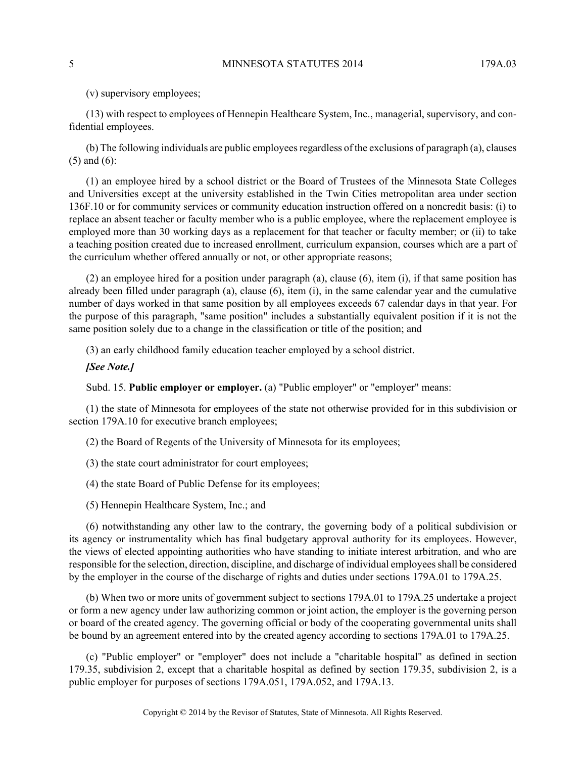(v) supervisory employees;

(13) with respect to employees of Hennepin Healthcare System, Inc., managerial, supervisory, and confidential employees.

(b) The following individuals are public employees regardless of the exclusions of paragraph (a), clauses (5) and (6):

(1) an employee hired by a school district or the Board of Trustees of the Minnesota State Colleges and Universities except at the university established in the Twin Cities metropolitan area under section 136F.10 or for community services or community education instruction offered on a noncredit basis: (i) to replace an absent teacher or faculty member who is a public employee, where the replacement employee is employed more than 30 working days as a replacement for that teacher or faculty member; or (ii) to take a teaching position created due to increased enrollment, curriculum expansion, courses which are a part of the curriculum whether offered annually or not, or other appropriate reasons;

(2) an employee hired for a position under paragraph (a), clause (6), item (i), if that same position has already been filled under paragraph (a), clause (6), item (i), in the same calendar year and the cumulative number of days worked in that same position by all employees exceeds 67 calendar days in that year. For the purpose of this paragraph, "same position" includes a substantially equivalent position if it is not the same position solely due to a change in the classification or title of the position; and

(3) an early childhood family education teacher employed by a school district.

*[See Note.]*

Subd. 15. **Public employer or employer.** (a) "Public employer" or "employer" means:

(1) the state of Minnesota for employees of the state not otherwise provided for in this subdivision or section 179A.10 for executive branch employees;

(2) the Board of Regents of the University of Minnesota for its employees;

(3) the state court administrator for court employees;

(4) the state Board of Public Defense for its employees;

(5) Hennepin Healthcare System, Inc.; and

(6) notwithstanding any other law to the contrary, the governing body of a political subdivision or its agency or instrumentality which has final budgetary approval authority for its employees. However, the views of elected appointing authorities who have standing to initiate interest arbitration, and who are responsible for the selection, direction, discipline, and discharge of individual employees shall be considered by the employer in the course of the discharge of rights and duties under sections 179A.01 to 179A.25.

(b) When two or more units of government subject to sections 179A.01 to 179A.25 undertake a project or form a new agency under law authorizing common or joint action, the employer is the governing person or board of the created agency. The governing official or body of the cooperating governmental units shall be bound by an agreement entered into by the created agency according to sections 179A.01 to 179A.25.

(c) "Public employer" or "employer" does not include a "charitable hospital" as defined in section 179.35, subdivision 2, except that a charitable hospital as defined by section 179.35, subdivision 2, is a public employer for purposes of sections 179A.051, 179A.052, and 179A.13.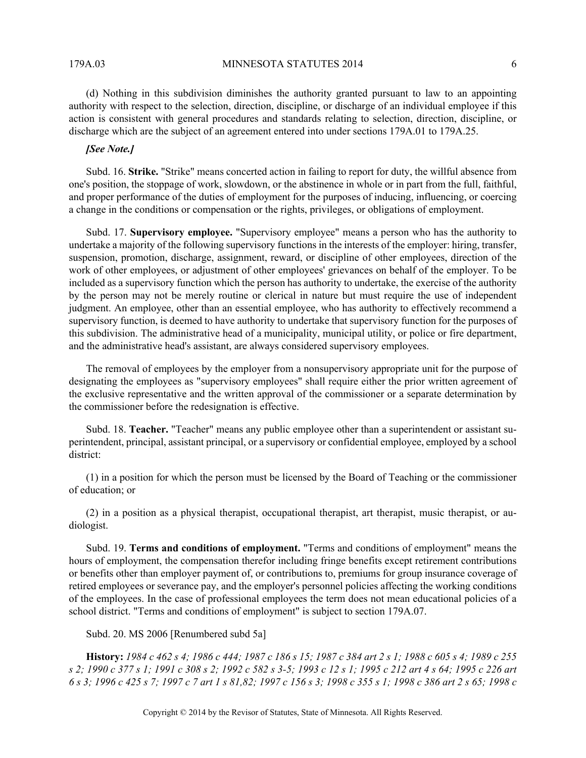179A.03 MINNESOTA STATUTES 2014 6

(d) Nothing in this subdivision diminishes the authority granted pursuant to law to an appointing authority with respect to the selection, direction, discipline, or discharge of an individual employee if this action is consistent with general procedures and standards relating to selection, direction, discipline, or discharge which are the subject of an agreement entered into under sections 179A.01 to 179A.25.

## *[See Note.]*

Subd. 16. **Strike.** "Strike" means concerted action in failing to report for duty, the willful absence from one's position, the stoppage of work, slowdown, or the abstinence in whole or in part from the full, faithful, and proper performance of the duties of employment for the purposes of inducing, influencing, or coercing a change in the conditions or compensation or the rights, privileges, or obligations of employment.

Subd. 17. **Supervisory employee.** "Supervisory employee" means a person who has the authority to undertake a majority of the following supervisory functions in the interests of the employer: hiring, transfer, suspension, promotion, discharge, assignment, reward, or discipline of other employees, direction of the work of other employees, or adjustment of other employees' grievances on behalf of the employer. To be included as a supervisory function which the person has authority to undertake, the exercise of the authority by the person may not be merely routine or clerical in nature but must require the use of independent judgment. An employee, other than an essential employee, who has authority to effectively recommend a supervisory function, is deemed to have authority to undertake that supervisory function for the purposes of this subdivision. The administrative head of a municipality, municipal utility, or police or fire department, and the administrative head's assistant, are always considered supervisory employees.

The removal of employees by the employer from a nonsupervisory appropriate unit for the purpose of designating the employees as "supervisory employees" shall require either the prior written agreement of the exclusive representative and the written approval of the commissioner or a separate determination by the commissioner before the redesignation is effective.

Subd. 18. **Teacher.** "Teacher" means any public employee other than a superintendent or assistant superintendent, principal, assistant principal, or a supervisory or confidential employee, employed by a school district:

(1) in a position for which the person must be licensed by the Board of Teaching or the commissioner of education; or

(2) in a position as a physical therapist, occupational therapist, art therapist, music therapist, or audiologist.

Subd. 19. **Terms and conditions of employment.** "Terms and conditions of employment" means the hours of employment, the compensation therefor including fringe benefits except retirement contributions or benefits other than employer payment of, or contributions to, premiums for group insurance coverage of retired employees or severance pay, and the employer's personnel policies affecting the working conditions of the employees. In the case of professional employees the term does not mean educational policies of a school district. "Terms and conditions of employment" is subject to section 179A.07.

Subd. 20. MS 2006 [Renumbered subd 5a]

**History:** *1984 c 462 s 4; 1986 c 444; 1987 c 186 s 15; 1987 c 384 art 2 s 1; 1988 c 605 s 4; 1989 c 255 s 2; 1990 c 377 s 1; 1991 c 308 s 2; 1992 c 582 s 3-5; 1993 c 12 s 1; 1995 c 212 art 4 s 64; 1995 c 226 art 6 s 3; 1996 c 425 s 7; 1997 c 7 art 1 s 81,82; 1997 c 156 s 3; 1998 c 355 s 1; 1998 c 386 art 2 s 65; 1998 c*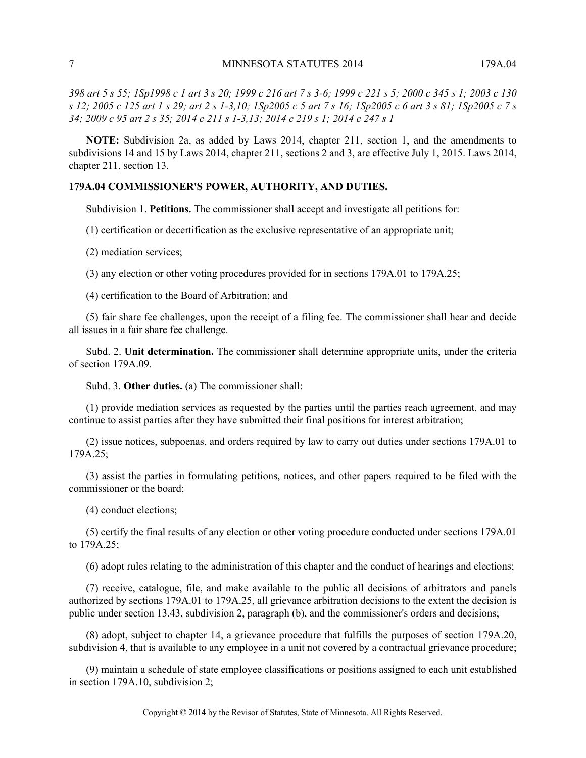*398 art 5 s 55; 1Sp1998 c 1 art 3 s 20; 1999 c 216 art 7 s 3-6; 1999 c 221 s 5; 2000 c 345 s 1; 2003 c 130 s 12; 2005 c 125 art 1 s 29; art 2 s 1-3,10; 1Sp2005 c 5 art 7 s 16; 1Sp2005 c 6 art 3 s 81; 1Sp2005 c 7 s 34; 2009 c 95 art 2 s 35; 2014 c 211 s 1-3,13; 2014 c 219 s 1; 2014 c 247 s 1*

**NOTE:** Subdivision 2a, as added by Laws 2014, chapter 211, section 1, and the amendments to subdivisions 14 and 15 by Laws 2014, chapter 211, sections 2 and 3, are effective July 1, 2015. Laws 2014, chapter 211, section 13.

#### **179A.04 COMMISSIONER'S POWER, AUTHORITY, AND DUTIES.**

Subdivision 1. **Petitions.** The commissioner shall accept and investigate all petitions for:

(1) certification or decertification as the exclusive representative of an appropriate unit;

(2) mediation services;

(3) any election or other voting procedures provided for in sections 179A.01 to 179A.25;

(4) certification to the Board of Arbitration; and

(5) fair share fee challenges, upon the receipt of a filing fee. The commissioner shall hear and decide all issues in a fair share fee challenge.

Subd. 2. **Unit determination.** The commissioner shall determine appropriate units, under the criteria of section 179A.09.

Subd. 3. **Other duties.** (a) The commissioner shall:

(1) provide mediation services as requested by the parties until the parties reach agreement, and may continue to assist parties after they have submitted their final positions for interest arbitration;

(2) issue notices, subpoenas, and orders required by law to carry out duties under sections 179A.01 to 179A.25;

(3) assist the parties in formulating petitions, notices, and other papers required to be filed with the commissioner or the board;

(4) conduct elections;

(5) certify the final results of any election or other voting procedure conducted under sections 179A.01 to 179A.25;

(6) adopt rules relating to the administration of this chapter and the conduct of hearings and elections;

(7) receive, catalogue, file, and make available to the public all decisions of arbitrators and panels authorized by sections 179A.01 to 179A.25, all grievance arbitration decisions to the extent the decision is public under section 13.43, subdivision 2, paragraph (b), and the commissioner's orders and decisions;

(8) adopt, subject to chapter 14, a grievance procedure that fulfills the purposes of section 179A.20, subdivision 4, that is available to any employee in a unit not covered by a contractual grievance procedure;

(9) maintain a schedule of state employee classifications or positions assigned to each unit established in section 179A.10, subdivision 2;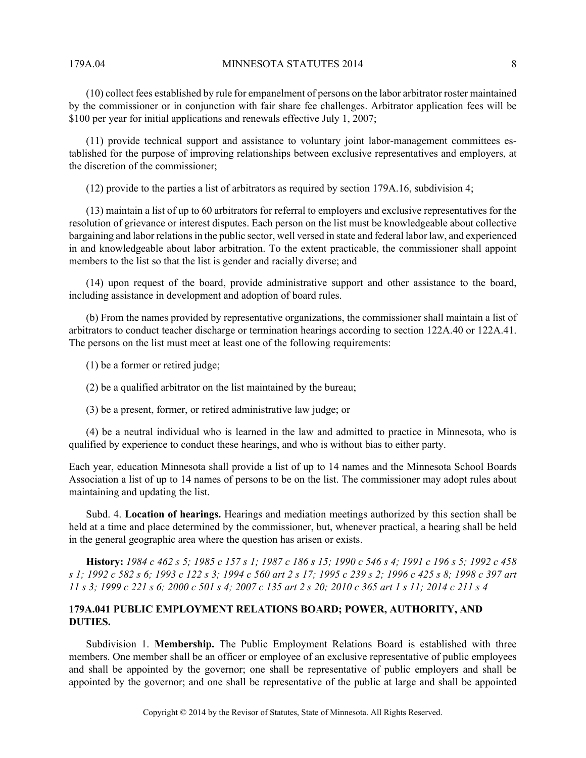179A.04 MINNESOTA STATUTES 2014 8

(10) collect fees established by rule for empanelment of persons on the labor arbitrator roster maintained by the commissioner or in conjunction with fair share fee challenges. Arbitrator application fees will be \$100 per year for initial applications and renewals effective July 1, 2007;

(11) provide technical support and assistance to voluntary joint labor-management committees established for the purpose of improving relationships between exclusive representatives and employers, at the discretion of the commissioner;

(12) provide to the parties a list of arbitrators as required by section 179A.16, subdivision 4;

(13) maintain a list of up to 60 arbitrators for referral to employers and exclusive representatives for the resolution of grievance or interest disputes. Each person on the list must be knowledgeable about collective bargaining and labor relations in the public sector, well versed in state and federal labor law, and experienced in and knowledgeable about labor arbitration. To the extent practicable, the commissioner shall appoint members to the list so that the list is gender and racially diverse; and

(14) upon request of the board, provide administrative support and other assistance to the board, including assistance in development and adoption of board rules.

(b) From the names provided by representative organizations, the commissioner shall maintain a list of arbitrators to conduct teacher discharge or termination hearings according to section 122A.40 or 122A.41. The persons on the list must meet at least one of the following requirements:

(1) be a former or retired judge;

(2) be a qualified arbitrator on the list maintained by the bureau;

(3) be a present, former, or retired administrative law judge; or

(4) be a neutral individual who is learned in the law and admitted to practice in Minnesota, who is qualified by experience to conduct these hearings, and who is without bias to either party.

Each year, education Minnesota shall provide a list of up to 14 names and the Minnesota School Boards Association a list of up to 14 names of persons to be on the list. The commissioner may adopt rules about maintaining and updating the list.

Subd. 4. **Location of hearings.** Hearings and mediation meetings authorized by this section shall be held at a time and place determined by the commissioner, but, whenever practical, a hearing shall be held in the general geographic area where the question has arisen or exists.

**History:** *1984 c 462 s 5; 1985 c 157 s 1; 1987 c 186 s 15; 1990 c 546 s 4; 1991 c 196 s 5; 1992 c 458 s 1; 1992 c 582 s 6; 1993 c 122 s 3; 1994 c 560 art 2 s 17; 1995 c 239 s 2; 1996 c 425 s 8; 1998 c 397 art 11 s 3; 1999 c 221 s 6; 2000 c 501 s 4; 2007 c 135 art 2 s 20; 2010 c 365 art 1 s 11; 2014 c 211 s 4*

## **179A.041 PUBLIC EMPLOYMENT RELATIONS BOARD; POWER, AUTHORITY, AND DUTIES.**

Subdivision 1. **Membership.** The Public Employment Relations Board is established with three members. One member shall be an officer or employee of an exclusive representative of public employees and shall be appointed by the governor; one shall be representative of public employers and shall be appointed by the governor; and one shall be representative of the public at large and shall be appointed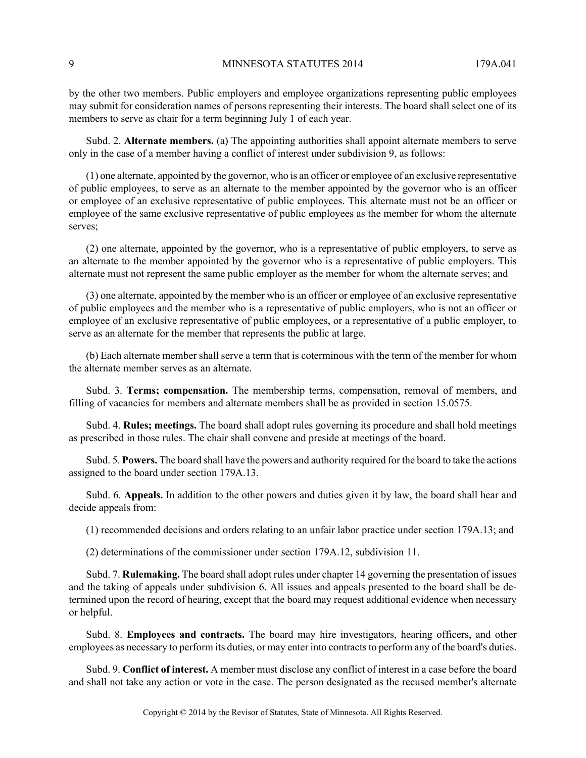by the other two members. Public employers and employee organizations representing public employees may submit for consideration names of persons representing their interests. The board shall select one of its members to serve as chair for a term beginning July 1 of each year.

Subd. 2. **Alternate members.** (a) The appointing authorities shall appoint alternate members to serve only in the case of a member having a conflict of interest under subdivision 9, as follows:

(1) one alternate, appointed by the governor, who is an officer or employee of an exclusive representative of public employees, to serve as an alternate to the member appointed by the governor who is an officer or employee of an exclusive representative of public employees. This alternate must not be an officer or employee of the same exclusive representative of public employees as the member for whom the alternate serves;

(2) one alternate, appointed by the governor, who is a representative of public employers, to serve as an alternate to the member appointed by the governor who is a representative of public employers. This alternate must not represent the same public employer as the member for whom the alternate serves; and

(3) one alternate, appointed by the member who is an officer or employee of an exclusive representative of public employees and the member who is a representative of public employers, who is not an officer or employee of an exclusive representative of public employees, or a representative of a public employer, to serve as an alternate for the member that represents the public at large.

(b) Each alternate member shall serve a term that is coterminous with the term of the member for whom the alternate member serves as an alternate.

Subd. 3. **Terms; compensation.** The membership terms, compensation, removal of members, and filling of vacancies for members and alternate members shall be as provided in section 15.0575.

Subd. 4. **Rules; meetings.** The board shall adopt rules governing its procedure and shall hold meetings as prescribed in those rules. The chair shall convene and preside at meetings of the board.

Subd. 5. **Powers.** The board shall have the powers and authority required for the board to take the actions assigned to the board under section 179A.13.

Subd. 6. **Appeals.** In addition to the other powers and duties given it by law, the board shall hear and decide appeals from:

(1) recommended decisions and orders relating to an unfair labor practice under section 179A.13; and

(2) determinations of the commissioner under section 179A.12, subdivision 11.

Subd. 7. **Rulemaking.** The board shall adopt rules under chapter 14 governing the presentation of issues and the taking of appeals under subdivision 6. All issues and appeals presented to the board shall be determined upon the record of hearing, except that the board may request additional evidence when necessary or helpful.

Subd. 8. **Employees and contracts.** The board may hire investigators, hearing officers, and other employees as necessary to perform its duties, or may enter into contracts to perform any of the board's duties.

Subd. 9. **Conflict of interest.** A member must disclose any conflict of interest in a case before the board and shall not take any action or vote in the case. The person designated as the recused member's alternate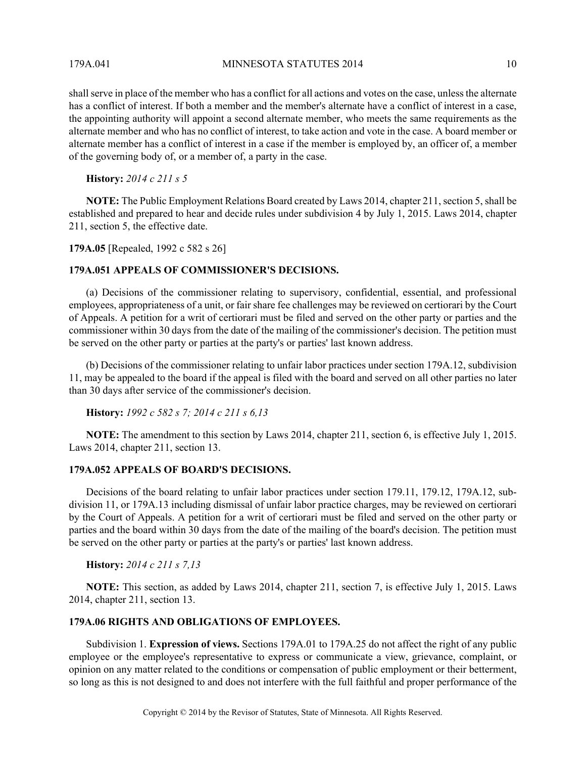179A.041 MINNESOTA STATUTES 2014 10

shall serve in place of the member who has a conflict for all actions and votes on the case, unless the alternate has a conflict of interest. If both a member and the member's alternate have a conflict of interest in a case, the appointing authority will appoint a second alternate member, who meets the same requirements as the alternate member and who has no conflict of interest, to take action and vote in the case. A board member or alternate member has a conflict of interest in a case if the member is employed by, an officer of, a member of the governing body of, or a member of, a party in the case.

**History:** *2014 c 211 s 5*

**NOTE:** The Public Employment Relations Board created by Laws 2014, chapter 211, section 5, shall be established and prepared to hear and decide rules under subdivision 4 by July 1, 2015. Laws 2014, chapter 211, section 5, the effective date.

**179A.05** [Repealed, 1992 c 582 s 26]

## **179A.051 APPEALS OF COMMISSIONER'S DECISIONS.**

(a) Decisions of the commissioner relating to supervisory, confidential, essential, and professional employees, appropriateness of a unit, or fair share fee challenges may be reviewed on certiorari by the Court of Appeals. A petition for a writ of certiorari must be filed and served on the other party or parties and the commissioner within 30 days from the date of the mailing of the commissioner's decision. The petition must be served on the other party or parties at the party's or parties' last known address.

(b) Decisions of the commissioner relating to unfair labor practices under section 179A.12, subdivision 11, may be appealed to the board if the appeal is filed with the board and served on all other parties no later than 30 days after service of the commissioner's decision.

**History:** *1992 c 582 s 7; 2014 c 211 s 6,13*

**NOTE:** The amendment to this section by Laws 2014, chapter 211, section 6, is effective July 1, 2015. Laws 2014, chapter 211, section 13.

### **179A.052 APPEALS OF BOARD'S DECISIONS.**

Decisions of the board relating to unfair labor practices under section 179.11, 179.12, 179A.12, subdivision 11, or 179A.13 including dismissal of unfair labor practice charges, may be reviewed on certiorari by the Court of Appeals. A petition for a writ of certiorari must be filed and served on the other party or parties and the board within 30 days from the date of the mailing of the board's decision. The petition must be served on the other party or parties at the party's or parties' last known address.

**History:** *2014 c 211 s 7,13*

**NOTE:** This section, as added by Laws 2014, chapter 211, section 7, is effective July 1, 2015. Laws 2014, chapter 211, section 13.

## **179A.06 RIGHTS AND OBLIGATIONS OF EMPLOYEES.**

Subdivision 1. **Expression of views.** Sections 179A.01 to 179A.25 do not affect the right of any public employee or the employee's representative to express or communicate a view, grievance, complaint, or opinion on any matter related to the conditions or compensation of public employment or their betterment, so long as this is not designed to and does not interfere with the full faithful and proper performance of the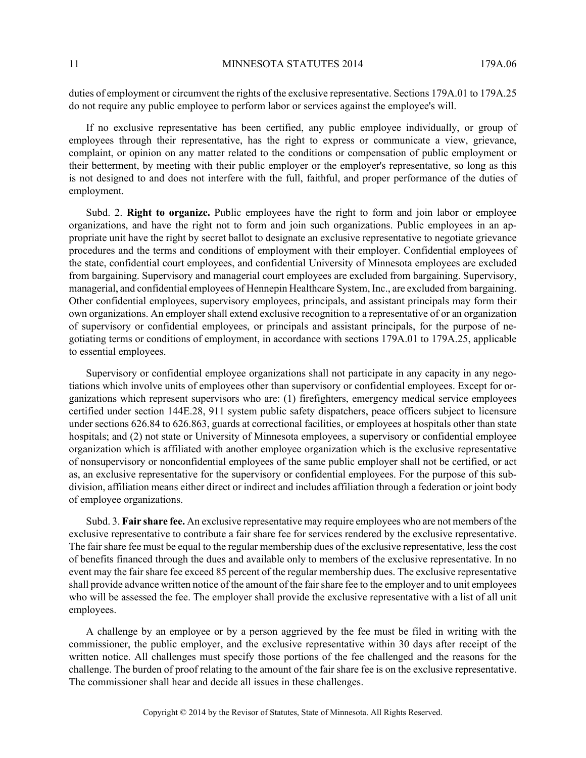11 MINNESOTA STATUTES 2014 179A.06

duties of employment or circumvent the rights of the exclusive representative. Sections 179A.01 to 179A.25 do not require any public employee to perform labor or services against the employee's will.

If no exclusive representative has been certified, any public employee individually, or group of employees through their representative, has the right to express or communicate a view, grievance, complaint, or opinion on any matter related to the conditions or compensation of public employment or their betterment, by meeting with their public employer or the employer's representative, so long as this is not designed to and does not interfere with the full, faithful, and proper performance of the duties of employment.

Subd. 2. **Right to organize.** Public employees have the right to form and join labor or employee organizations, and have the right not to form and join such organizations. Public employees in an appropriate unit have the right by secret ballot to designate an exclusive representative to negotiate grievance procedures and the terms and conditions of employment with their employer. Confidential employees of the state, confidential court employees, and confidential University of Minnesota employees are excluded from bargaining. Supervisory and managerial court employees are excluded from bargaining. Supervisory, managerial, and confidential employees of Hennepin Healthcare System, Inc., are excluded from bargaining. Other confidential employees, supervisory employees, principals, and assistant principals may form their own organizations. An employer shall extend exclusive recognition to a representative of or an organization of supervisory or confidential employees, or principals and assistant principals, for the purpose of negotiating terms or conditions of employment, in accordance with sections 179A.01 to 179A.25, applicable to essential employees.

Supervisory or confidential employee organizations shall not participate in any capacity in any negotiations which involve units of employees other than supervisory or confidential employees. Except for organizations which represent supervisors who are: (1) firefighters, emergency medical service employees certified under section 144E.28, 911 system public safety dispatchers, peace officers subject to licensure under sections 626.84 to 626.863, guards at correctional facilities, or employees at hospitals other than state hospitals; and (2) not state or University of Minnesota employees, a supervisory or confidential employee organization which is affiliated with another employee organization which is the exclusive representative of nonsupervisory or nonconfidential employees of the same public employer shall not be certified, or act as, an exclusive representative for the supervisory or confidential employees. For the purpose of this subdivision, affiliation means either direct or indirect and includes affiliation through a federation or joint body of employee organizations.

Subd. 3. **Fair share fee.** An exclusive representative may require employees who are not members of the exclusive representative to contribute a fair share fee for services rendered by the exclusive representative. The fair share fee must be equal to the regular membership dues of the exclusive representative, less the cost of benefits financed through the dues and available only to members of the exclusive representative. In no event may the fair share fee exceed 85 percent of the regular membership dues. The exclusive representative shall provide advance written notice of the amount of the fair share fee to the employer and to unit employees who will be assessed the fee. The employer shall provide the exclusive representative with a list of all unit employees.

A challenge by an employee or by a person aggrieved by the fee must be filed in writing with the commissioner, the public employer, and the exclusive representative within 30 days after receipt of the written notice. All challenges must specify those portions of the fee challenged and the reasons for the challenge. The burden of proof relating to the amount of the fair share fee is on the exclusive representative. The commissioner shall hear and decide all issues in these challenges.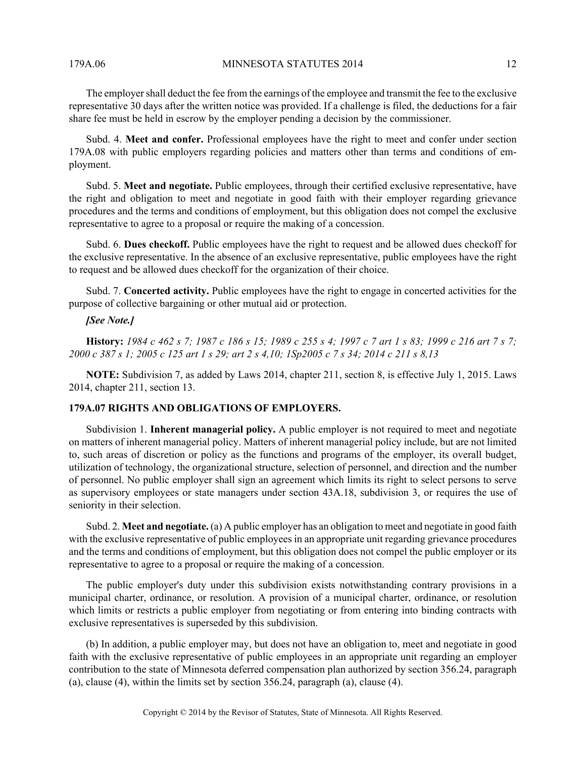179A.06 MINNESOTA STATUTES 2014 12

The employer shall deduct the fee from the earnings of the employee and transmit the fee to the exclusive representative 30 days after the written notice was provided. If a challenge is filed, the deductions for a fair share fee must be held in escrow by the employer pending a decision by the commissioner.

Subd. 4. **Meet and confer.** Professional employees have the right to meet and confer under section 179A.08 with public employers regarding policies and matters other than terms and conditions of employment.

Subd. 5. **Meet and negotiate.** Public employees, through their certified exclusive representative, have the right and obligation to meet and negotiate in good faith with their employer regarding grievance procedures and the terms and conditions of employment, but this obligation does not compel the exclusive representative to agree to a proposal or require the making of a concession.

Subd. 6. **Dues checkoff.** Public employees have the right to request and be allowed dues checkoff for the exclusive representative. In the absence of an exclusive representative, public employees have the right to request and be allowed dues checkoff for the organization of their choice.

Subd. 7. **Concerted activity.** Public employees have the right to engage in concerted activities for the purpose of collective bargaining or other mutual aid or protection.

## *[See Note.]*

**History:** *1984 c 462 s 7; 1987 c 186 s 15; 1989 c 255 s 4; 1997 c 7 art 1 s 83; 1999 c 216 art 7 s 7; 2000 c 387 s 1; 2005 c 125 art 1 s 29; art 2 s 4,10; 1Sp2005 c 7 s 34; 2014 c 211 s 8,13*

**NOTE:** Subdivision 7, as added by Laws 2014, chapter 211, section 8, is effective July 1, 2015. Laws 2014, chapter 211, section 13.

## **179A.07 RIGHTS AND OBLIGATIONS OF EMPLOYERS.**

Subdivision 1. **Inherent managerial policy.** A public employer is not required to meet and negotiate on matters of inherent managerial policy. Matters of inherent managerial policy include, but are not limited to, such areas of discretion or policy as the functions and programs of the employer, its overall budget, utilization of technology, the organizational structure, selection of personnel, and direction and the number of personnel. No public employer shall sign an agreement which limits its right to select persons to serve as supervisory employees or state managers under section 43A.18, subdivision 3, or requires the use of seniority in their selection.

Subd. 2. **Meet and negotiate.** (a) A public employer has an obligation to meet and negotiate in good faith with the exclusive representative of public employees in an appropriate unit regarding grievance procedures and the terms and conditions of employment, but this obligation does not compel the public employer or its representative to agree to a proposal or require the making of a concession.

The public employer's duty under this subdivision exists notwithstanding contrary provisions in a municipal charter, ordinance, or resolution. A provision of a municipal charter, ordinance, or resolution which limits or restricts a public employer from negotiating or from entering into binding contracts with exclusive representatives is superseded by this subdivision.

(b) In addition, a public employer may, but does not have an obligation to, meet and negotiate in good faith with the exclusive representative of public employees in an appropriate unit regarding an employer contribution to the state of Minnesota deferred compensation plan authorized by section 356.24, paragraph (a), clause (4), within the limits set by section 356.24, paragraph (a), clause (4).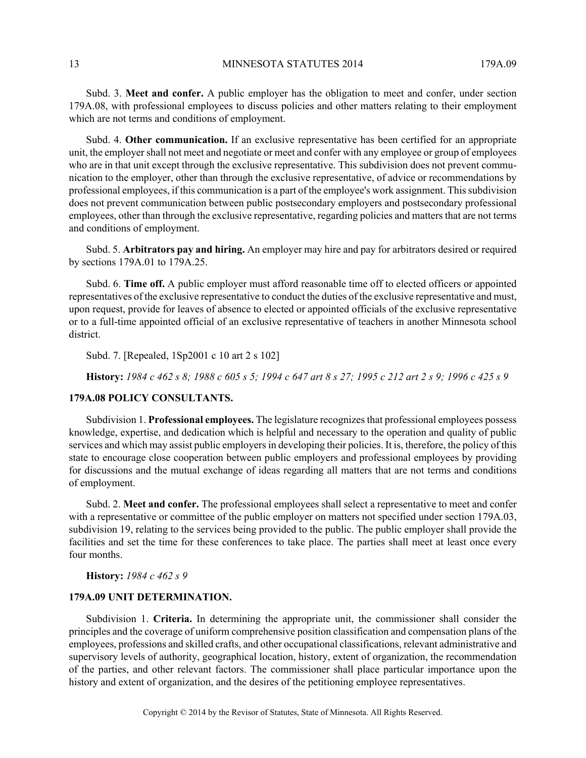Subd. 3. **Meet and confer.** A public employer has the obligation to meet and confer, under section 179A.08, with professional employees to discuss policies and other matters relating to their employment which are not terms and conditions of employment.

Subd. 4. **Other communication.** If an exclusive representative has been certified for an appropriate unit, the employer shall not meet and negotiate or meet and confer with any employee or group of employees who are in that unit except through the exclusive representative. This subdivision does not prevent communication to the employer, other than through the exclusive representative, of advice or recommendations by professional employees, if this communication is a part of the employee's work assignment. This subdivision does not prevent communication between public postsecondary employers and postsecondary professional employees, other than through the exclusive representative, regarding policies and matters that are not terms and conditions of employment.

Subd. 5. **Arbitrators pay and hiring.** An employer may hire and pay for arbitrators desired or required by sections 179A.01 to 179A.25.

Subd. 6. **Time off.** A public employer must afford reasonable time off to elected officers or appointed representatives of the exclusive representative to conduct the duties of the exclusive representative and must, upon request, provide for leaves of absence to elected or appointed officials of the exclusive representative or to a full-time appointed official of an exclusive representative of teachers in another Minnesota school district.

Subd. 7. [Repealed, 1Sp2001 c 10 art 2 s 102]

**History:** *1984 c 462 s 8; 1988 c 605 s 5; 1994 c 647 art 8 s 27; 1995 c 212 art 2 s 9; 1996 c 425 s 9*

## **179A.08 POLICY CONSULTANTS.**

Subdivision 1. **Professional employees.** The legislature recognizes that professional employees possess knowledge, expertise, and dedication which is helpful and necessary to the operation and quality of public services and which may assist public employers in developing their policies. It is, therefore, the policy of this state to encourage close cooperation between public employers and professional employees by providing for discussions and the mutual exchange of ideas regarding all matters that are not terms and conditions of employment.

Subd. 2. **Meet and confer.** The professional employees shall select a representative to meet and confer with a representative or committee of the public employer on matters not specified under section 179A.03, subdivision 19, relating to the services being provided to the public. The public employer shall provide the facilities and set the time for these conferences to take place. The parties shall meet at least once every four months.

**History:** *1984 c 462 s 9*

## **179A.09 UNIT DETERMINATION.**

Subdivision 1. **Criteria.** In determining the appropriate unit, the commissioner shall consider the principles and the coverage of uniform comprehensive position classification and compensation plans of the employees, professions and skilled crafts, and other occupational classifications, relevant administrative and supervisory levels of authority, geographical location, history, extent of organization, the recommendation of the parties, and other relevant factors. The commissioner shall place particular importance upon the history and extent of organization, and the desires of the petitioning employee representatives.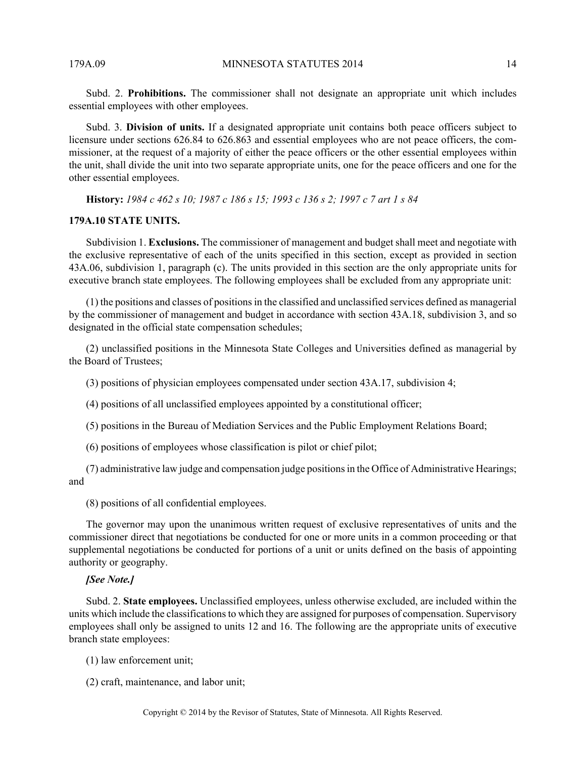Subd. 2. **Prohibitions.** The commissioner shall not designate an appropriate unit which includes essential employees with other employees.

Subd. 3. **Division of units.** If a designated appropriate unit contains both peace officers subject to licensure under sections 626.84 to 626.863 and essential employees who are not peace officers, the commissioner, at the request of a majority of either the peace officers or the other essential employees within the unit, shall divide the unit into two separate appropriate units, one for the peace officers and one for the other essential employees.

**History:** *1984 c 462 s 10; 1987 c 186 s 15; 1993 c 136 s 2; 1997 c 7 art 1 s 84*

## **179A.10 STATE UNITS.**

Subdivision 1. **Exclusions.** The commissioner of management and budget shall meet and negotiate with the exclusive representative of each of the units specified in this section, except as provided in section 43A.06, subdivision 1, paragraph (c). The units provided in this section are the only appropriate units for executive branch state employees. The following employees shall be excluded from any appropriate unit:

(1) the positions and classes of positions in the classified and unclassified services defined as managerial by the commissioner of management and budget in accordance with section 43A.18, subdivision 3, and so designated in the official state compensation schedules;

(2) unclassified positions in the Minnesota State Colleges and Universities defined as managerial by the Board of Trustees;

(3) positions of physician employees compensated under section 43A.17, subdivision 4;

(4) positions of all unclassified employees appointed by a constitutional officer;

(5) positions in the Bureau of Mediation Services and the Public Employment Relations Board;

(6) positions of employees whose classification is pilot or chief pilot;

(7) administrative law judge and compensation judge positions in the Office of Administrative Hearings; and

(8) positions of all confidential employees.

The governor may upon the unanimous written request of exclusive representatives of units and the commissioner direct that negotiations be conducted for one or more units in a common proceeding or that supplemental negotiations be conducted for portions of a unit or units defined on the basis of appointing authority or geography.

#### *[See Note.]*

Subd. 2. **State employees.** Unclassified employees, unless otherwise excluded, are included within the units which include the classifications to which they are assigned for purposes of compensation. Supervisory employees shall only be assigned to units 12 and 16. The following are the appropriate units of executive branch state employees:

(1) law enforcement unit;

(2) craft, maintenance, and labor unit;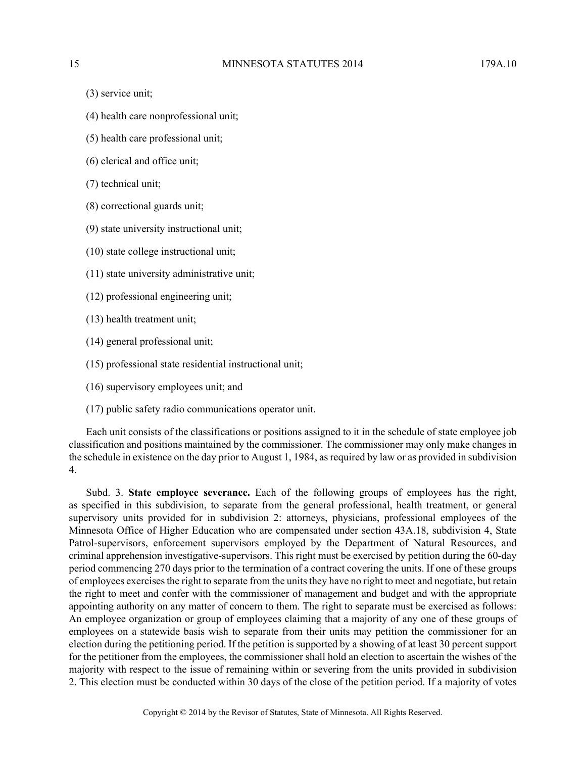- (3) service unit;
- (4) health care nonprofessional unit;
- (5) health care professional unit;
- (6) clerical and office unit;
- (7) technical unit;
- (8) correctional guards unit;
- (9) state university instructional unit;
- (10) state college instructional unit;
- (11) state university administrative unit;
- (12) professional engineering unit;
- (13) health treatment unit;
- (14) general professional unit;
- (15) professional state residential instructional unit;
- (16) supervisory employees unit; and
- (17) public safety radio communications operator unit.

Each unit consists of the classifications or positions assigned to it in the schedule of state employee job classification and positions maintained by the commissioner. The commissioner may only make changes in the schedule in existence on the day prior to August 1, 1984, as required by law or as provided in subdivision 4.

Subd. 3. **State employee severance.** Each of the following groups of employees has the right, as specified in this subdivision, to separate from the general professional, health treatment, or general supervisory units provided for in subdivision 2: attorneys, physicians, professional employees of the Minnesota Office of Higher Education who are compensated under section 43A.18, subdivision 4, State Patrol-supervisors, enforcement supervisors employed by the Department of Natural Resources, and criminal apprehension investigative-supervisors. This right must be exercised by petition during the 60-day period commencing 270 days prior to the termination of a contract covering the units. If one of these groups of employees exercises the right to separate from the units they have no right to meet and negotiate, but retain the right to meet and confer with the commissioner of management and budget and with the appropriate appointing authority on any matter of concern to them. The right to separate must be exercised as follows: An employee organization or group of employees claiming that a majority of any one of these groups of employees on a statewide basis wish to separate from their units may petition the commissioner for an election during the petitioning period. If the petition is supported by a showing of at least 30 percent support for the petitioner from the employees, the commissioner shall hold an election to ascertain the wishes of the majority with respect to the issue of remaining within or severing from the units provided in subdivision 2. This election must be conducted within 30 days of the close of the petition period. If a majority of votes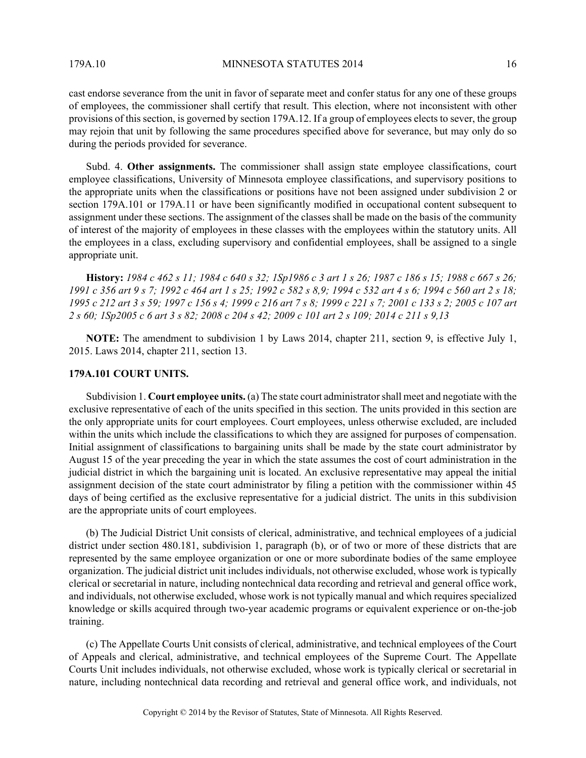cast endorse severance from the unit in favor of separate meet and confer status for any one of these groups of employees, the commissioner shall certify that result. This election, where not inconsistent with other provisions of this section, is governed by section 179A.12. If a group of employees elects to sever, the group may rejoin that unit by following the same procedures specified above for severance, but may only do so during the periods provided for severance.

Subd. 4. **Other assignments.** The commissioner shall assign state employee classifications, court employee classifications, University of Minnesota employee classifications, and supervisory positions to the appropriate units when the classifications or positions have not been assigned under subdivision 2 or section 179A.101 or 179A.11 or have been significantly modified in occupational content subsequent to assignment under these sections. The assignment of the classes shall be made on the basis of the community of interest of the majority of employees in these classes with the employees within the statutory units. All the employees in a class, excluding supervisory and confidential employees, shall be assigned to a single appropriate unit.

**History:** *1984 c 462 s 11; 1984 c 640 s 32; 1Sp1986 c 3 art 1 s 26; 1987 c 186 s 15; 1988 c 667 s 26; 1991 c 356 art 9 s 7; 1992 c 464 art 1 s 25; 1992 c 582 s 8,9; 1994 c 532 art 4 s 6; 1994 c 560 art 2 s 18; 1995 c 212 art 3 s 59; 1997 c 156 s 4; 1999 c 216 art 7 s 8; 1999 c 221 s 7; 2001 c 133 s 2; 2005 c 107 art 2 s 60; 1Sp2005 c 6 art 3 s 82; 2008 c 204 s 42; 2009 c 101 art 2 s 109; 2014 c 211 s 9,13*

**NOTE:** The amendment to subdivision 1 by Laws 2014, chapter 211, section 9, is effective July 1, 2015. Laws 2014, chapter 211, section 13.

## **179A.101 COURT UNITS.**

Subdivision 1. **Court employee units.** (a) The state court administrator shall meet and negotiate with the exclusive representative of each of the units specified in this section. The units provided in this section are the only appropriate units for court employees. Court employees, unless otherwise excluded, are included within the units which include the classifications to which they are assigned for purposes of compensation. Initial assignment of classifications to bargaining units shall be made by the state court administrator by August 15 of the year preceding the year in which the state assumes the cost of court administration in the judicial district in which the bargaining unit is located. An exclusive representative may appeal the initial assignment decision of the state court administrator by filing a petition with the commissioner within 45 days of being certified as the exclusive representative for a judicial district. The units in this subdivision are the appropriate units of court employees.

(b) The Judicial District Unit consists of clerical, administrative, and technical employees of a judicial district under section 480.181, subdivision 1, paragraph (b), or of two or more of these districts that are represented by the same employee organization or one or more subordinate bodies of the same employee organization. The judicial district unit includes individuals, not otherwise excluded, whose work is typically clerical or secretarial in nature, including nontechnical data recording and retrieval and general office work, and individuals, not otherwise excluded, whose work is not typically manual and which requires specialized knowledge or skills acquired through two-year academic programs or equivalent experience or on-the-job training.

(c) The Appellate Courts Unit consists of clerical, administrative, and technical employees of the Court of Appeals and clerical, administrative, and technical employees of the Supreme Court. The Appellate Courts Unit includes individuals, not otherwise excluded, whose work is typically clerical or secretarial in nature, including nontechnical data recording and retrieval and general office work, and individuals, not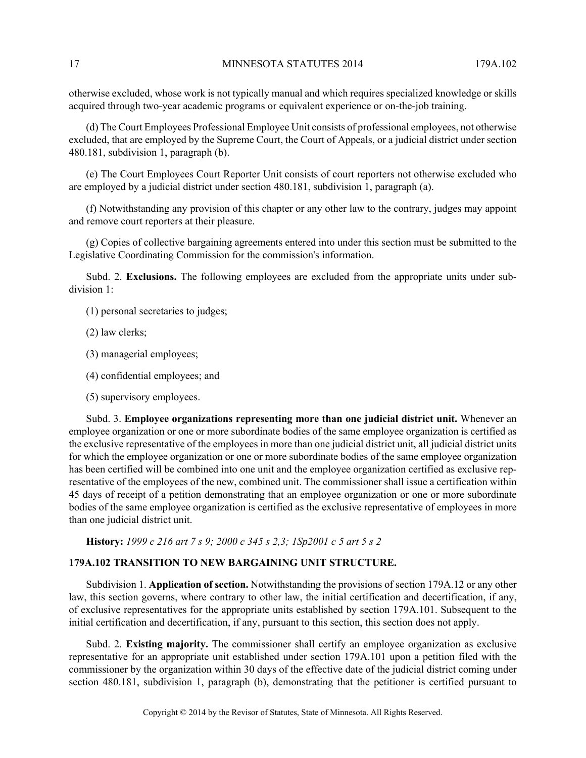otherwise excluded, whose work is not typically manual and which requires specialized knowledge or skills acquired through two-year academic programs or equivalent experience or on-the-job training.

(d) The Court Employees Professional Employee Unit consists of professional employees, not otherwise excluded, that are employed by the Supreme Court, the Court of Appeals, or a judicial district under section 480.181, subdivision 1, paragraph (b).

(e) The Court Employees Court Reporter Unit consists of court reporters not otherwise excluded who are employed by a judicial district under section 480.181, subdivision 1, paragraph (a).

(f) Notwithstanding any provision of this chapter or any other law to the contrary, judges may appoint and remove court reporters at their pleasure.

(g) Copies of collective bargaining agreements entered into under this section must be submitted to the Legislative Coordinating Commission for the commission's information.

Subd. 2. **Exclusions.** The following employees are excluded from the appropriate units under subdivision 1:

- (1) personal secretaries to judges;
- (2) law clerks;
- (3) managerial employees;
- (4) confidential employees; and
- (5) supervisory employees.

Subd. 3. **Employee organizations representing more than one judicial district unit.** Whenever an employee organization or one or more subordinate bodies of the same employee organization is certified as the exclusive representative of the employees in more than one judicial district unit, all judicial district units for which the employee organization or one or more subordinate bodies of the same employee organization has been certified will be combined into one unit and the employee organization certified as exclusive representative of the employees of the new, combined unit. The commissioner shall issue a certification within 45 days of receipt of a petition demonstrating that an employee organization or one or more subordinate bodies of the same employee organization is certified as the exclusive representative of employees in more than one judicial district unit.

**History:** *1999 c 216 art 7 s 9; 2000 c 345 s 2,3; 1Sp2001 c 5 art 5 s 2*

## **179A.102 TRANSITION TO NEW BARGAINING UNIT STRUCTURE.**

Subdivision 1. **Application of section.** Notwithstanding the provisions of section 179A.12 or any other law, this section governs, where contrary to other law, the initial certification and decertification, if any, of exclusive representatives for the appropriate units established by section 179A.101. Subsequent to the initial certification and decertification, if any, pursuant to this section, this section does not apply.

Subd. 2. **Existing majority.** The commissioner shall certify an employee organization as exclusive representative for an appropriate unit established under section 179A.101 upon a petition filed with the commissioner by the organization within 30 days of the effective date of the judicial district coming under section 480.181, subdivision 1, paragraph (b), demonstrating that the petitioner is certified pursuant to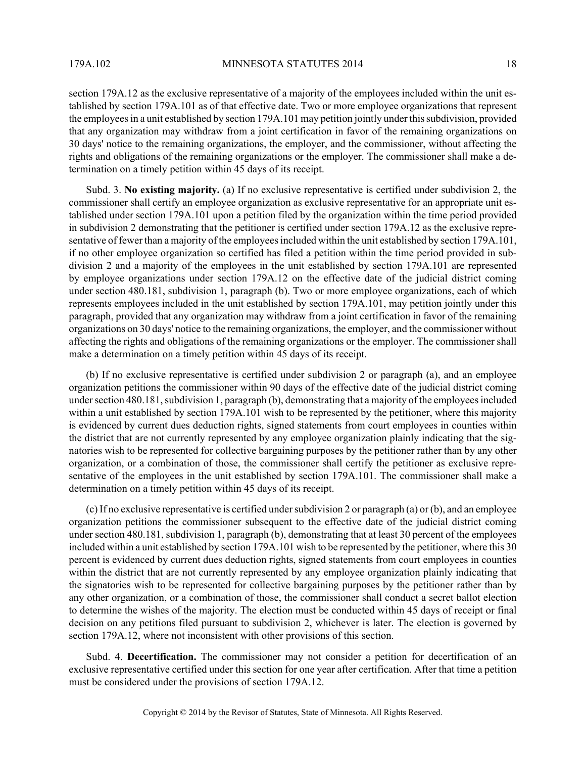section 179A.12 as the exclusive representative of a majority of the employees included within the unit established by section 179A.101 as of that effective date. Two or more employee organizations that represent the employees in a unit established by section 179A.101 may petition jointly under this subdivision, provided that any organization may withdraw from a joint certification in favor of the remaining organizations on 30 days' notice to the remaining organizations, the employer, and the commissioner, without affecting the rights and obligations of the remaining organizations or the employer. The commissioner shall make a determination on a timely petition within 45 days of its receipt.

Subd. 3. **No existing majority.** (a) If no exclusive representative is certified under subdivision 2, the commissioner shall certify an employee organization as exclusive representative for an appropriate unit established under section 179A.101 upon a petition filed by the organization within the time period provided in subdivision 2 demonstrating that the petitioner is certified under section 179A.12 as the exclusive representative of fewer than a majority of the employees included within the unit established by section 179A.101, if no other employee organization so certified has filed a petition within the time period provided in subdivision 2 and a majority of the employees in the unit established by section 179A.101 are represented by employee organizations under section 179A.12 on the effective date of the judicial district coming under section 480.181, subdivision 1, paragraph (b). Two or more employee organizations, each of which represents employees included in the unit established by section 179A.101, may petition jointly under this paragraph, provided that any organization may withdraw from a joint certification in favor of the remaining organizations on 30 days' notice to the remaining organizations, the employer, and the commissioner without affecting the rights and obligations of the remaining organizations or the employer. The commissioner shall make a determination on a timely petition within 45 days of its receipt.

(b) If no exclusive representative is certified under subdivision 2 or paragraph (a), and an employee organization petitions the commissioner within 90 days of the effective date of the judicial district coming under section 480.181, subdivision 1, paragraph (b), demonstrating that a majority of the employees included within a unit established by section 179A.101 wish to be represented by the petitioner, where this majority is evidenced by current dues deduction rights, signed statements from court employees in counties within the district that are not currently represented by any employee organization plainly indicating that the signatories wish to be represented for collective bargaining purposes by the petitioner rather than by any other organization, or a combination of those, the commissioner shall certify the petitioner as exclusive representative of the employees in the unit established by section 179A.101. The commissioner shall make a determination on a timely petition within 45 days of its receipt.

(c) If no exclusive representative is certified under subdivision 2 or paragraph (a) or (b), and an employee organization petitions the commissioner subsequent to the effective date of the judicial district coming under section 480.181, subdivision 1, paragraph (b), demonstrating that at least 30 percent of the employees included within a unit established by section 179A.101 wish to be represented by the petitioner, where this 30 percent is evidenced by current dues deduction rights, signed statements from court employees in counties within the district that are not currently represented by any employee organization plainly indicating that the signatories wish to be represented for collective bargaining purposes by the petitioner rather than by any other organization, or a combination of those, the commissioner shall conduct a secret ballot election to determine the wishes of the majority. The election must be conducted within 45 days of receipt or final decision on any petitions filed pursuant to subdivision 2, whichever is later. The election is governed by section 179A.12, where not inconsistent with other provisions of this section.

Subd. 4. **Decertification.** The commissioner may not consider a petition for decertification of an exclusive representative certified under this section for one year after certification. After that time a petition must be considered under the provisions of section 179A.12.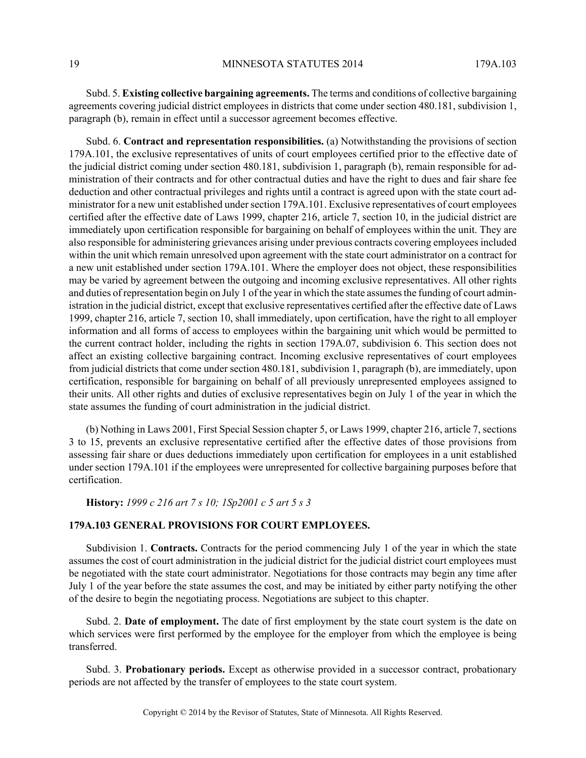Subd. 5. **Existing collective bargaining agreements.** The terms and conditions of collective bargaining agreements covering judicial district employees in districts that come under section 480.181, subdivision 1, paragraph (b), remain in effect until a successor agreement becomes effective.

Subd. 6. **Contract and representation responsibilities.** (a) Notwithstanding the provisions of section 179A.101, the exclusive representatives of units of court employees certified prior to the effective date of the judicial district coming under section 480.181, subdivision 1, paragraph (b), remain responsible for administration of their contracts and for other contractual duties and have the right to dues and fair share fee deduction and other contractual privileges and rights until a contract is agreed upon with the state court administrator for a new unit established under section 179A.101. Exclusive representatives of court employees certified after the effective date of Laws 1999, chapter 216, article 7, section 10, in the judicial district are immediately upon certification responsible for bargaining on behalf of employees within the unit. They are also responsible for administering grievances arising under previous contracts covering employees included within the unit which remain unresolved upon agreement with the state court administrator on a contract for a new unit established under section 179A.101. Where the employer does not object, these responsibilities may be varied by agreement between the outgoing and incoming exclusive representatives. All other rights and duties of representation begin on July 1 of the year in which the state assumes the funding of court administration in the judicial district, except that exclusive representatives certified after the effective date of Laws 1999, chapter 216, article 7, section 10, shall immediately, upon certification, have the right to all employer information and all forms of access to employees within the bargaining unit which would be permitted to the current contract holder, including the rights in section 179A.07, subdivision 6. This section does not affect an existing collective bargaining contract. Incoming exclusive representatives of court employees from judicial districts that come under section 480.181, subdivision 1, paragraph (b), are immediately, upon certification, responsible for bargaining on behalf of all previously unrepresented employees assigned to their units. All other rights and duties of exclusive representatives begin on July 1 of the year in which the state assumes the funding of court administration in the judicial district.

(b) Nothing in Laws 2001, First Special Session chapter 5, or Laws 1999, chapter 216, article 7, sections 3 to 15, prevents an exclusive representative certified after the effective dates of those provisions from assessing fair share or dues deductions immediately upon certification for employees in a unit established under section 179A.101 if the employees were unrepresented for collective bargaining purposes before that certification.

**History:** *1999 c 216 art 7 s 10; 1Sp2001 c 5 art 5 s 3*

## **179A.103 GENERAL PROVISIONS FOR COURT EMPLOYEES.**

Subdivision 1. **Contracts.** Contracts for the period commencing July 1 of the year in which the state assumes the cost of court administration in the judicial district for the judicial district court employees must be negotiated with the state court administrator. Negotiations for those contracts may begin any time after July 1 of the year before the state assumes the cost, and may be initiated by either party notifying the other of the desire to begin the negotiating process. Negotiations are subject to this chapter.

Subd. 2. **Date of employment.** The date of first employment by the state court system is the date on which services were first performed by the employee for the employer from which the employee is being transferred.

Subd. 3. **Probationary periods.** Except as otherwise provided in a successor contract, probationary periods are not affected by the transfer of employees to the state court system.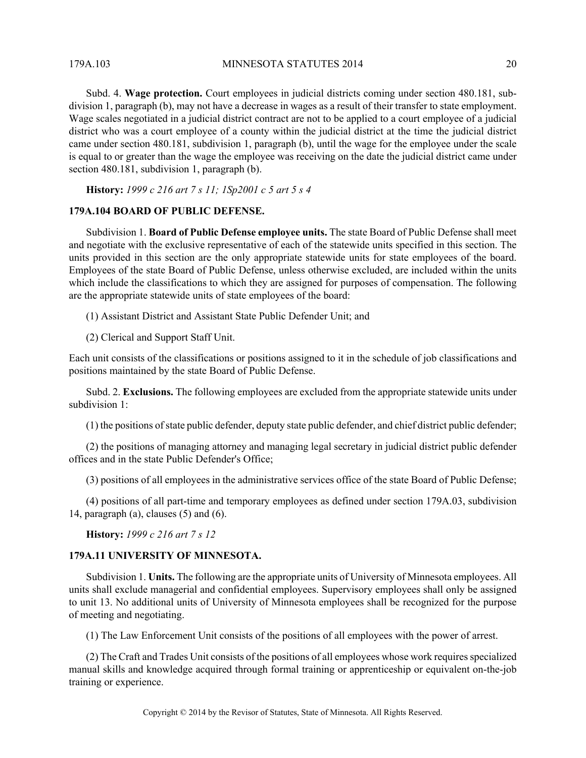179A.103 MINNESOTA STATUTES 2014 20

Subd. 4. **Wage protection.** Court employees in judicial districts coming under section 480.181, subdivision 1, paragraph (b), may not have a decrease in wages as a result of their transfer to state employment. Wage scales negotiated in a judicial district contract are not to be applied to a court employee of a judicial district who was a court employee of a county within the judicial district at the time the judicial district came under section 480.181, subdivision 1, paragraph (b), until the wage for the employee under the scale is equal to or greater than the wage the employee was receiving on the date the judicial district came under section 480.181, subdivision 1, paragraph (b).

**History:** *1999 c 216 art 7 s 11; 1Sp2001 c 5 art 5 s 4*

## **179A.104 BOARD OF PUBLIC DEFENSE.**

Subdivision 1. **Board of Public Defense employee units.** The state Board of Public Defense shall meet and negotiate with the exclusive representative of each of the statewide units specified in this section. The units provided in this section are the only appropriate statewide units for state employees of the board. Employees of the state Board of Public Defense, unless otherwise excluded, are included within the units which include the classifications to which they are assigned for purposes of compensation. The following are the appropriate statewide units of state employees of the board:

(1) Assistant District and Assistant State Public Defender Unit; and

(2) Clerical and Support Staff Unit.

Each unit consists of the classifications or positions assigned to it in the schedule of job classifications and positions maintained by the state Board of Public Defense.

Subd. 2. **Exclusions.** The following employees are excluded from the appropriate statewide units under subdivision 1:

(1) the positions of state public defender, deputy state public defender, and chief district public defender;

(2) the positions of managing attorney and managing legal secretary in judicial district public defender offices and in the state Public Defender's Office;

(3) positions of all employees in the administrative services office of the state Board of Public Defense;

(4) positions of all part-time and temporary employees as defined under section 179A.03, subdivision 14, paragraph (a), clauses  $(5)$  and  $(6)$ .

**History:** *1999 c 216 art 7 s 12*

#### **179A.11 UNIVERSITY OF MINNESOTA.**

Subdivision 1. **Units.** The following are the appropriate units of University of Minnesota employees. All units shall exclude managerial and confidential employees. Supervisory employees shall only be assigned to unit 13. No additional units of University of Minnesota employees shall be recognized for the purpose of meeting and negotiating.

(1) The Law Enforcement Unit consists of the positions of all employees with the power of arrest.

(2) The Craft and Trades Unit consists of the positions of all employees whose work requires specialized manual skills and knowledge acquired through formal training or apprenticeship or equivalent on-the-job training or experience.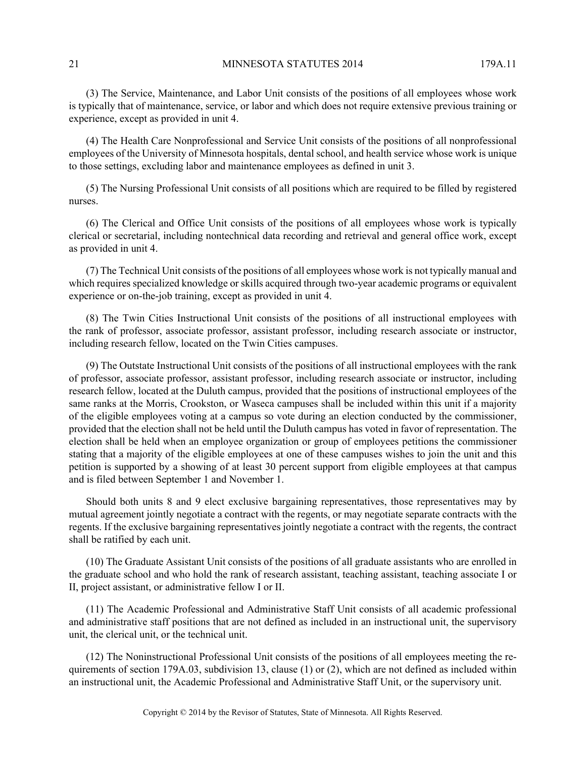(3) The Service, Maintenance, and Labor Unit consists of the positions of all employees whose work is typically that of maintenance, service, or labor and which does not require extensive previous training or experience, except as provided in unit 4.

(4) The Health Care Nonprofessional and Service Unit consists of the positions of all nonprofessional employees of the University of Minnesota hospitals, dental school, and health service whose work is unique to those settings, excluding labor and maintenance employees as defined in unit 3.

(5) The Nursing Professional Unit consists of all positions which are required to be filled by registered nurses.

(6) The Clerical and Office Unit consists of the positions of all employees whose work is typically clerical or secretarial, including nontechnical data recording and retrieval and general office work, except as provided in unit 4.

(7) The Technical Unit consists of the positions of all employees whose work is not typically manual and which requires specialized knowledge or skills acquired through two-year academic programs or equivalent experience or on-the-job training, except as provided in unit 4.

(8) The Twin Cities Instructional Unit consists of the positions of all instructional employees with the rank of professor, associate professor, assistant professor, including research associate or instructor, including research fellow, located on the Twin Cities campuses.

(9) The Outstate Instructional Unit consists of the positions of all instructional employees with the rank of professor, associate professor, assistant professor, including research associate or instructor, including research fellow, located at the Duluth campus, provided that the positions of instructional employees of the same ranks at the Morris, Crookston, or Waseca campuses shall be included within this unit if a majority of the eligible employees voting at a campus so vote during an election conducted by the commissioner, provided that the election shall not be held until the Duluth campus has voted in favor of representation. The election shall be held when an employee organization or group of employees petitions the commissioner stating that a majority of the eligible employees at one of these campuses wishes to join the unit and this petition is supported by a showing of at least 30 percent support from eligible employees at that campus and is filed between September 1 and November 1.

Should both units 8 and 9 elect exclusive bargaining representatives, those representatives may by mutual agreement jointly negotiate a contract with the regents, or may negotiate separate contracts with the regents. If the exclusive bargaining representatives jointly negotiate a contract with the regents, the contract shall be ratified by each unit.

(10) The Graduate Assistant Unit consists of the positions of all graduate assistants who are enrolled in the graduate school and who hold the rank of research assistant, teaching assistant, teaching associate I or II, project assistant, or administrative fellow I or II.

(11) The Academic Professional and Administrative Staff Unit consists of all academic professional and administrative staff positions that are not defined as included in an instructional unit, the supervisory unit, the clerical unit, or the technical unit.

(12) The Noninstructional Professional Unit consists of the positions of all employees meeting the requirements of section 179A.03, subdivision 13, clause (1) or (2), which are not defined as included within an instructional unit, the Academic Professional and Administrative Staff Unit, or the supervisory unit.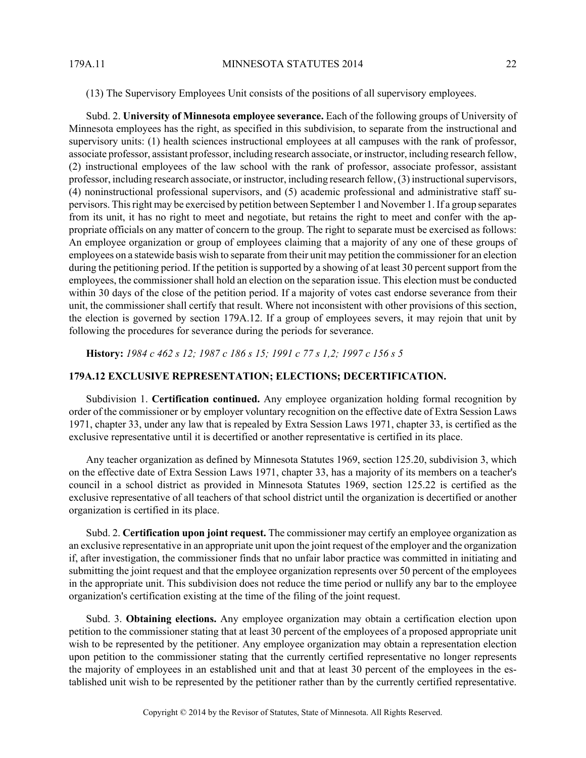(13) The Supervisory Employees Unit consists of the positions of all supervisory employees.

Subd. 2. **University of Minnesota employee severance.** Each of the following groups of University of Minnesota employees has the right, as specified in this subdivision, to separate from the instructional and supervisory units: (1) health sciences instructional employees at all campuses with the rank of professor, associate professor, assistant professor, including research associate, or instructor, including research fellow, (2) instructional employees of the law school with the rank of professor, associate professor, assistant professor, including research associate, or instructor, including research fellow, (3) instructional supervisors, (4) noninstructional professional supervisors, and (5) academic professional and administrative staff supervisors. This right may be exercised by petition between September 1 and November 1. If a group separates from its unit, it has no right to meet and negotiate, but retains the right to meet and confer with the appropriate officials on any matter of concern to the group. The right to separate must be exercised as follows: An employee organization or group of employees claiming that a majority of any one of these groups of employees on a statewide basis wish to separate from their unit may petition the commissioner for an election during the petitioning period. If the petition is supported by a showing of at least 30 percent support from the employees, the commissioner shall hold an election on the separation issue. This election must be conducted within 30 days of the close of the petition period. If a majority of votes cast endorse severance from their unit, the commissioner shall certify that result. Where not inconsistent with other provisions of this section, the election is governed by section 179A.12. If a group of employees severs, it may rejoin that unit by following the procedures for severance during the periods for severance.

**History:** *1984 c 462 s 12; 1987 c 186 s 15; 1991 c 77 s 1,2; 1997 c 156 s 5*

## **179A.12 EXCLUSIVE REPRESENTATION; ELECTIONS; DECERTIFICATION.**

Subdivision 1. **Certification continued.** Any employee organization holding formal recognition by order of the commissioner or by employer voluntary recognition on the effective date of Extra Session Laws 1971, chapter 33, under any law that is repealed by Extra Session Laws 1971, chapter 33, is certified as the exclusive representative until it is decertified or another representative is certified in its place.

Any teacher organization as defined by Minnesota Statutes 1969, section 125.20, subdivision 3, which on the effective date of Extra Session Laws 1971, chapter 33, has a majority of its members on a teacher's council in a school district as provided in Minnesota Statutes 1969, section 125.22 is certified as the exclusive representative of all teachers of that school district until the organization is decertified or another organization is certified in its place.

Subd. 2. **Certification upon joint request.** The commissioner may certify an employee organization as an exclusive representative in an appropriate unit upon the joint request of the employer and the organization if, after investigation, the commissioner finds that no unfair labor practice was committed in initiating and submitting the joint request and that the employee organization represents over 50 percent of the employees in the appropriate unit. This subdivision does not reduce the time period or nullify any bar to the employee organization's certification existing at the time of the filing of the joint request.

Subd. 3. **Obtaining elections.** Any employee organization may obtain a certification election upon petition to the commissioner stating that at least 30 percent of the employees of a proposed appropriate unit wish to be represented by the petitioner. Any employee organization may obtain a representation election upon petition to the commissioner stating that the currently certified representative no longer represents the majority of employees in an established unit and that at least 30 percent of the employees in the established unit wish to be represented by the petitioner rather than by the currently certified representative.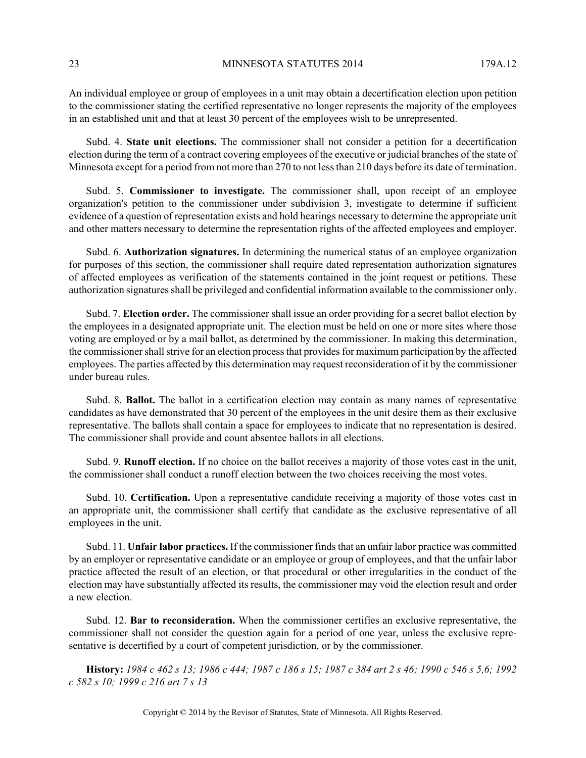An individual employee or group of employees in a unit may obtain a decertification election upon petition to the commissioner stating the certified representative no longer represents the majority of the employees in an established unit and that at least 30 percent of the employees wish to be unrepresented.

Subd. 4. **State unit elections.** The commissioner shall not consider a petition for a decertification election during the term of a contract covering employees of the executive or judicial branches of the state of Minnesota except for a period from not more than 270 to not less than 210 days before its date of termination.

Subd. 5. **Commissioner to investigate.** The commissioner shall, upon receipt of an employee organization's petition to the commissioner under subdivision 3, investigate to determine if sufficient evidence of a question of representation exists and hold hearings necessary to determine the appropriate unit and other matters necessary to determine the representation rights of the affected employees and employer.

Subd. 6. **Authorization signatures.** In determining the numerical status of an employee organization for purposes of this section, the commissioner shall require dated representation authorization signatures of affected employees as verification of the statements contained in the joint request or petitions. These authorization signatures shall be privileged and confidential information available to the commissioner only.

Subd. 7. **Election order.** The commissioner shall issue an order providing for a secret ballot election by the employees in a designated appropriate unit. The election must be held on one or more sites where those voting are employed or by a mail ballot, as determined by the commissioner. In making this determination, the commissioner shall strive for an election process that provides for maximum participation by the affected employees. The parties affected by this determination may request reconsideration of it by the commissioner under bureau rules.

Subd. 8. **Ballot.** The ballot in a certification election may contain as many names of representative candidates as have demonstrated that 30 percent of the employees in the unit desire them as their exclusive representative. The ballots shall contain a space for employees to indicate that no representation is desired. The commissioner shall provide and count absentee ballots in all elections.

Subd. 9. **Runoff election.** If no choice on the ballot receives a majority of those votes cast in the unit, the commissioner shall conduct a runoff election between the two choices receiving the most votes.

Subd. 10. **Certification.** Upon a representative candidate receiving a majority of those votes cast in an appropriate unit, the commissioner shall certify that candidate as the exclusive representative of all employees in the unit.

Subd. 11. **Unfair labor practices.** If the commissioner finds that an unfair labor practice was committed by an employer or representative candidate or an employee or group of employees, and that the unfair labor practice affected the result of an election, or that procedural or other irregularities in the conduct of the election may have substantially affected its results, the commissioner may void the election result and order a new election.

Subd. 12. **Bar to reconsideration.** When the commissioner certifies an exclusive representative, the commissioner shall not consider the question again for a period of one year, unless the exclusive representative is decertified by a court of competent jurisdiction, or by the commissioner.

**History:** *1984 c 462 s 13; 1986 c 444; 1987 c 186 s 15; 1987 c 384 art 2 s 46; 1990 c 546 s 5,6; 1992 c 582 s 10; 1999 c 216 art 7 s 13*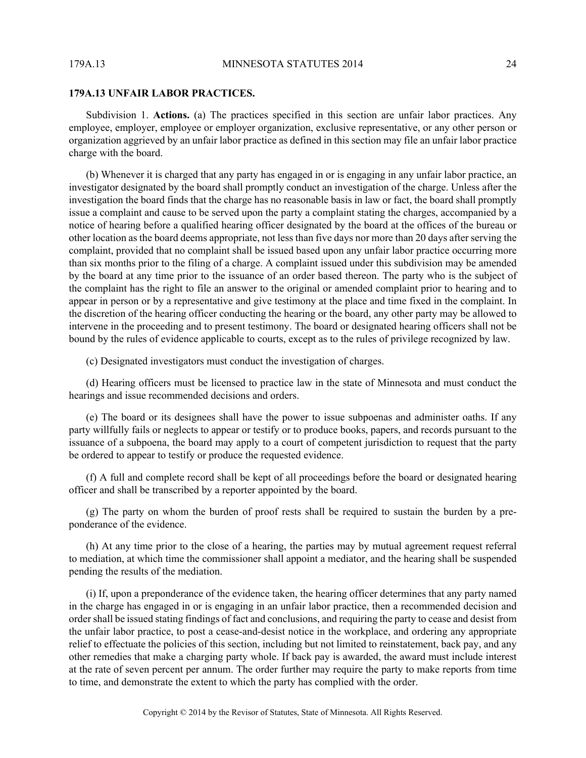#### **179A.13 UNFAIR LABOR PRACTICES.**

Subdivision 1. **Actions.** (a) The practices specified in this section are unfair labor practices. Any employee, employer, employee or employer organization, exclusive representative, or any other person or organization aggrieved by an unfair labor practice as defined in this section may file an unfair labor practice charge with the board.

(b) Whenever it is charged that any party has engaged in or is engaging in any unfair labor practice, an investigator designated by the board shall promptly conduct an investigation of the charge. Unless after the investigation the board finds that the charge has no reasonable basis in law or fact, the board shall promptly issue a complaint and cause to be served upon the party a complaint stating the charges, accompanied by a notice of hearing before a qualified hearing officer designated by the board at the offices of the bureau or other location as the board deems appropriate, not less than five days nor more than 20 days after serving the complaint, provided that no complaint shall be issued based upon any unfair labor practice occurring more than six months prior to the filing of a charge. A complaint issued under this subdivision may be amended by the board at any time prior to the issuance of an order based thereon. The party who is the subject of the complaint has the right to file an answer to the original or amended complaint prior to hearing and to appear in person or by a representative and give testimony at the place and time fixed in the complaint. In the discretion of the hearing officer conducting the hearing or the board, any other party may be allowed to intervene in the proceeding and to present testimony. The board or designated hearing officers shall not be bound by the rules of evidence applicable to courts, except as to the rules of privilege recognized by law.

(c) Designated investigators must conduct the investigation of charges.

(d) Hearing officers must be licensed to practice law in the state of Minnesota and must conduct the hearings and issue recommended decisions and orders.

(e) The board or its designees shall have the power to issue subpoenas and administer oaths. If any party willfully fails or neglects to appear or testify or to produce books, papers, and records pursuant to the issuance of a subpoena, the board may apply to a court of competent jurisdiction to request that the party be ordered to appear to testify or produce the requested evidence.

(f) A full and complete record shall be kept of all proceedings before the board or designated hearing officer and shall be transcribed by a reporter appointed by the board.

(g) The party on whom the burden of proof rests shall be required to sustain the burden by a preponderance of the evidence.

(h) At any time prior to the close of a hearing, the parties may by mutual agreement request referral to mediation, at which time the commissioner shall appoint a mediator, and the hearing shall be suspended pending the results of the mediation.

(i) If, upon a preponderance of the evidence taken, the hearing officer determines that any party named in the charge has engaged in or is engaging in an unfair labor practice, then a recommended decision and order shall be issued stating findings of fact and conclusions, and requiring the party to cease and desist from the unfair labor practice, to post a cease-and-desist notice in the workplace, and ordering any appropriate relief to effectuate the policies of this section, including but not limited to reinstatement, back pay, and any other remedies that make a charging party whole. If back pay is awarded, the award must include interest at the rate of seven percent per annum. The order further may require the party to make reports from time to time, and demonstrate the extent to which the party has complied with the order.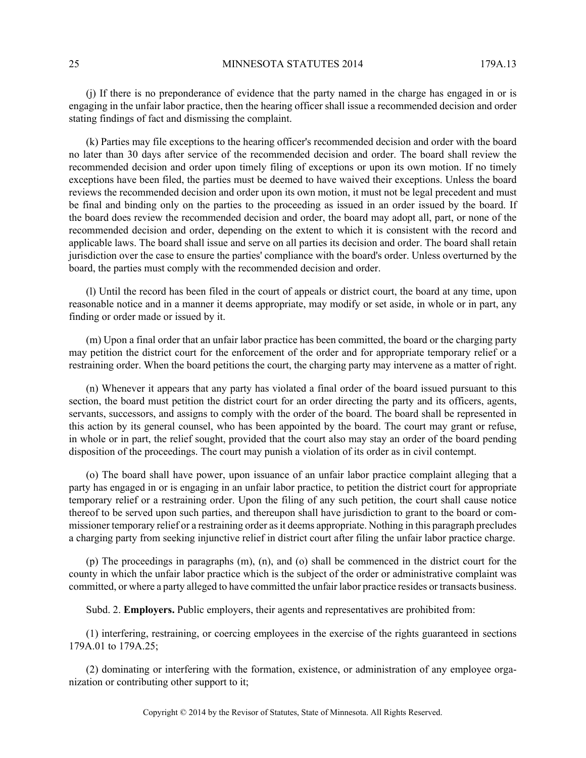(j) If there is no preponderance of evidence that the party named in the charge has engaged in or is engaging in the unfair labor practice, then the hearing officer shall issue a recommended decision and order stating findings of fact and dismissing the complaint.

(k) Parties may file exceptions to the hearing officer's recommended decision and order with the board no later than 30 days after service of the recommended decision and order. The board shall review the recommended decision and order upon timely filing of exceptions or upon its own motion. If no timely exceptions have been filed, the parties must be deemed to have waived their exceptions. Unless the board reviews the recommended decision and order upon its own motion, it must not be legal precedent and must be final and binding only on the parties to the proceeding as issued in an order issued by the board. If the board does review the recommended decision and order, the board may adopt all, part, or none of the recommended decision and order, depending on the extent to which it is consistent with the record and applicable laws. The board shall issue and serve on all parties its decision and order. The board shall retain jurisdiction over the case to ensure the parties' compliance with the board's order. Unless overturned by the board, the parties must comply with the recommended decision and order.

(l) Until the record has been filed in the court of appeals or district court, the board at any time, upon reasonable notice and in a manner it deems appropriate, may modify or set aside, in whole or in part, any finding or order made or issued by it.

(m) Upon a final order that an unfair labor practice has been committed, the board or the charging party may petition the district court for the enforcement of the order and for appropriate temporary relief or a restraining order. When the board petitions the court, the charging party may intervene as a matter of right.

(n) Whenever it appears that any party has violated a final order of the board issued pursuant to this section, the board must petition the district court for an order directing the party and its officers, agents, servants, successors, and assigns to comply with the order of the board. The board shall be represented in this action by its general counsel, who has been appointed by the board. The court may grant or refuse, in whole or in part, the relief sought, provided that the court also may stay an order of the board pending disposition of the proceedings. The court may punish a violation of its order as in civil contempt.

(o) The board shall have power, upon issuance of an unfair labor practice complaint alleging that a party has engaged in or is engaging in an unfair labor practice, to petition the district court for appropriate temporary relief or a restraining order. Upon the filing of any such petition, the court shall cause notice thereof to be served upon such parties, and thereupon shall have jurisdiction to grant to the board or commissioner temporary relief or a restraining order as it deems appropriate. Nothing in this paragraph precludes a charging party from seeking injunctive relief in district court after filing the unfair labor practice charge.

(p) The proceedings in paragraphs (m), (n), and (o) shall be commenced in the district court for the county in which the unfair labor practice which is the subject of the order or administrative complaint was committed, or where a party alleged to have committed the unfair labor practice resides or transacts business.

Subd. 2. **Employers.** Public employers, their agents and representatives are prohibited from:

(1) interfering, restraining, or coercing employees in the exercise of the rights guaranteed in sections 179A.01 to 179A.25;

(2) dominating or interfering with the formation, existence, or administration of any employee organization or contributing other support to it;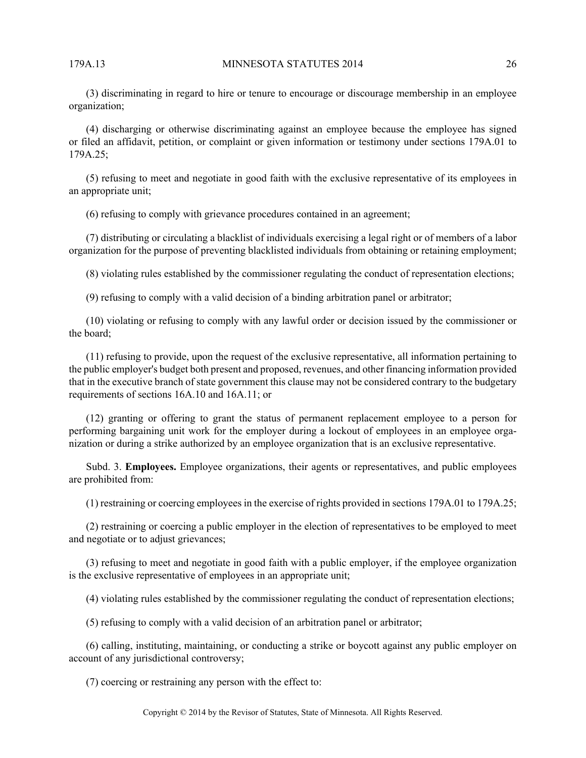(3) discriminating in regard to hire or tenure to encourage or discourage membership in an employee organization;

(4) discharging or otherwise discriminating against an employee because the employee has signed or filed an affidavit, petition, or complaint or given information or testimony under sections 179A.01 to 179A.25;

(5) refusing to meet and negotiate in good faith with the exclusive representative of its employees in an appropriate unit;

(6) refusing to comply with grievance procedures contained in an agreement;

(7) distributing or circulating a blacklist of individuals exercising a legal right or of members of a labor organization for the purpose of preventing blacklisted individuals from obtaining or retaining employment;

(8) violating rules established by the commissioner regulating the conduct of representation elections;

(9) refusing to comply with a valid decision of a binding arbitration panel or arbitrator;

(10) violating or refusing to comply with any lawful order or decision issued by the commissioner or the board;

(11) refusing to provide, upon the request of the exclusive representative, all information pertaining to the public employer's budget both present and proposed, revenues, and other financing information provided that in the executive branch of state government this clause may not be considered contrary to the budgetary requirements of sections 16A.10 and 16A.11; or

(12) granting or offering to grant the status of permanent replacement employee to a person for performing bargaining unit work for the employer during a lockout of employees in an employee organization or during a strike authorized by an employee organization that is an exclusive representative.

Subd. 3. **Employees.** Employee organizations, their agents or representatives, and public employees are prohibited from:

(1) restraining or coercing employees in the exercise of rights provided in sections 179A.01 to 179A.25;

(2) restraining or coercing a public employer in the election of representatives to be employed to meet and negotiate or to adjust grievances;

(3) refusing to meet and negotiate in good faith with a public employer, if the employee organization is the exclusive representative of employees in an appropriate unit;

(4) violating rules established by the commissioner regulating the conduct of representation elections;

(5) refusing to comply with a valid decision of an arbitration panel or arbitrator;

(6) calling, instituting, maintaining, or conducting a strike or boycott against any public employer on account of any jurisdictional controversy;

(7) coercing or restraining any person with the effect to: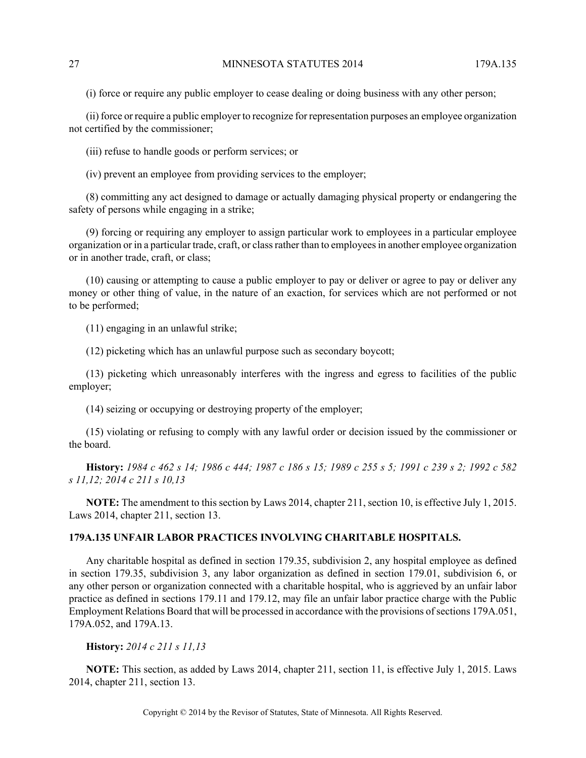(i) force or require any public employer to cease dealing or doing business with any other person;

(ii) force or require a public employer to recognize for representation purposes an employee organization not certified by the commissioner;

(iii) refuse to handle goods or perform services; or

(iv) prevent an employee from providing services to the employer;

(8) committing any act designed to damage or actually damaging physical property or endangering the safety of persons while engaging in a strike;

(9) forcing or requiring any employer to assign particular work to employees in a particular employee organization or in a particular trade, craft, or class rather than to employees in another employee organization or in another trade, craft, or class;

(10) causing or attempting to cause a public employer to pay or deliver or agree to pay or deliver any money or other thing of value, in the nature of an exaction, for services which are not performed or not to be performed;

(11) engaging in an unlawful strike;

(12) picketing which has an unlawful purpose such as secondary boycott;

(13) picketing which unreasonably interferes with the ingress and egress to facilities of the public employer;

(14) seizing or occupying or destroying property of the employer;

(15) violating or refusing to comply with any lawful order or decision issued by the commissioner or the board.

**History:** *1984 c 462 s 14; 1986 c 444; 1987 c 186 s 15; 1989 c 255 s 5; 1991 c 239 s 2; 1992 c 582 s 11,12; 2014 c 211 s 10,13*

**NOTE:** The amendment to this section by Laws 2014, chapter 211, section 10, is effective July 1, 2015. Laws 2014, chapter 211, section 13.

## **179A.135 UNFAIR LABOR PRACTICES INVOLVING CHARITABLE HOSPITALS.**

Any charitable hospital as defined in section 179.35, subdivision 2, any hospital employee as defined in section 179.35, subdivision 3, any labor organization as defined in section 179.01, subdivision 6, or any other person or organization connected with a charitable hospital, who is aggrieved by an unfair labor practice as defined in sections 179.11 and 179.12, may file an unfair labor practice charge with the Public Employment Relations Board that will be processed in accordance with the provisions of sections 179A.051, 179A.052, and 179A.13.

**History:** *2014 c 211 s 11,13*

**NOTE:** This section, as added by Laws 2014, chapter 211, section 11, is effective July 1, 2015. Laws 2014, chapter 211, section 13.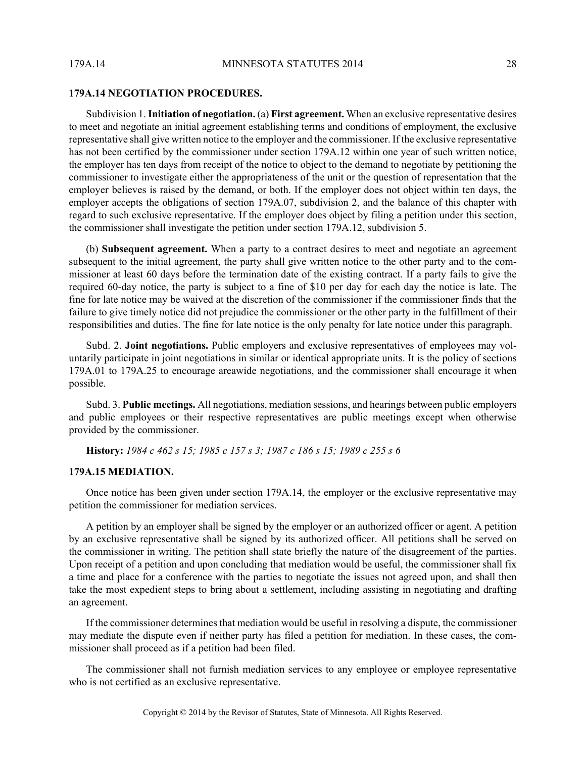#### **179A.14 NEGOTIATION PROCEDURES.**

Subdivision 1. **Initiation of negotiation.** (a) **First agreement.** When an exclusive representative desires to meet and negotiate an initial agreement establishing terms and conditions of employment, the exclusive representative shall give written notice to the employer and the commissioner. If the exclusive representative has not been certified by the commissioner under section 179A.12 within one year of such written notice, the employer has ten days from receipt of the notice to object to the demand to negotiate by petitioning the commissioner to investigate either the appropriateness of the unit or the question of representation that the employer believes is raised by the demand, or both. If the employer does not object within ten days, the employer accepts the obligations of section 179A.07, subdivision 2, and the balance of this chapter with regard to such exclusive representative. If the employer does object by filing a petition under this section, the commissioner shall investigate the petition under section 179A.12, subdivision 5.

(b) **Subsequent agreement.** When a party to a contract desires to meet and negotiate an agreement subsequent to the initial agreement, the party shall give written notice to the other party and to the commissioner at least 60 days before the termination date of the existing contract. If a party fails to give the required 60-day notice, the party is subject to a fine of \$10 per day for each day the notice is late. The fine for late notice may be waived at the discretion of the commissioner if the commissioner finds that the failure to give timely notice did not prejudice the commissioner or the other party in the fulfillment of their responsibilities and duties. The fine for late notice is the only penalty for late notice under this paragraph.

Subd. 2. **Joint negotiations.** Public employers and exclusive representatives of employees may voluntarily participate in joint negotiations in similar or identical appropriate units. It is the policy of sections 179A.01 to 179A.25 to encourage areawide negotiations, and the commissioner shall encourage it when possible.

Subd. 3. **Public meetings.** All negotiations, mediation sessions, and hearings between public employers and public employees or their respective representatives are public meetings except when otherwise provided by the commissioner.

**History:** *1984 c 462 s 15; 1985 c 157 s 3; 1987 c 186 s 15; 1989 c 255 s 6*

#### **179A.15 MEDIATION.**

Once notice has been given under section 179A.14, the employer or the exclusive representative may petition the commissioner for mediation services.

A petition by an employer shall be signed by the employer or an authorized officer or agent. A petition by an exclusive representative shall be signed by its authorized officer. All petitions shall be served on the commissioner in writing. The petition shall state briefly the nature of the disagreement of the parties. Upon receipt of a petition and upon concluding that mediation would be useful, the commissioner shall fix a time and place for a conference with the parties to negotiate the issues not agreed upon, and shall then take the most expedient steps to bring about a settlement, including assisting in negotiating and drafting an agreement.

If the commissioner determines that mediation would be useful in resolving a dispute, the commissioner may mediate the dispute even if neither party has filed a petition for mediation. In these cases, the commissioner shall proceed as if a petition had been filed.

The commissioner shall not furnish mediation services to any employee or employee representative who is not certified as an exclusive representative.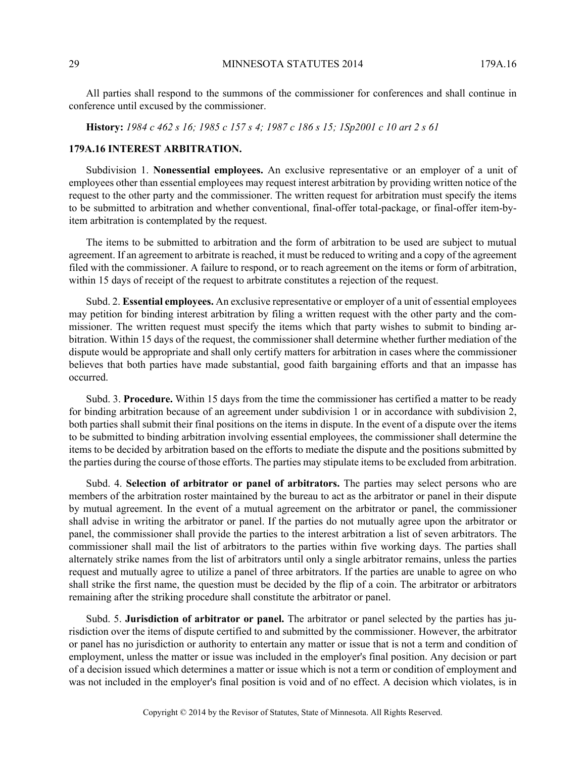All parties shall respond to the summons of the commissioner for conferences and shall continue in conference until excused by the commissioner.

**History:** *1984 c 462 s 16; 1985 c 157 s 4; 1987 c 186 s 15; 1Sp2001 c 10 art 2 s 61*

#### **179A.16 INTEREST ARBITRATION.**

Subdivision 1. **Nonessential employees.** An exclusive representative or an employer of a unit of employees other than essential employees may request interest arbitration by providing written notice of the request to the other party and the commissioner. The written request for arbitration must specify the items to be submitted to arbitration and whether conventional, final-offer total-package, or final-offer item-byitem arbitration is contemplated by the request.

The items to be submitted to arbitration and the form of arbitration to be used are subject to mutual agreement. If an agreement to arbitrate is reached, it must be reduced to writing and a copy of the agreement filed with the commissioner. A failure to respond, or to reach agreement on the items or form of arbitration, within 15 days of receipt of the request to arbitrate constitutes a rejection of the request.

Subd. 2. **Essential employees.** An exclusive representative or employer of a unit of essential employees may petition for binding interest arbitration by filing a written request with the other party and the commissioner. The written request must specify the items which that party wishes to submit to binding arbitration. Within 15 days of the request, the commissioner shall determine whether further mediation of the dispute would be appropriate and shall only certify matters for arbitration in cases where the commissioner believes that both parties have made substantial, good faith bargaining efforts and that an impasse has occurred.

Subd. 3. **Procedure.** Within 15 days from the time the commissioner has certified a matter to be ready for binding arbitration because of an agreement under subdivision 1 or in accordance with subdivision 2, both parties shall submit their final positions on the items in dispute. In the event of a dispute over the items to be submitted to binding arbitration involving essential employees, the commissioner shall determine the items to be decided by arbitration based on the efforts to mediate the dispute and the positions submitted by the parties during the course of those efforts. The parties may stipulate items to be excluded from arbitration.

Subd. 4. **Selection of arbitrator or panel of arbitrators.** The parties may select persons who are members of the arbitration roster maintained by the bureau to act as the arbitrator or panel in their dispute by mutual agreement. In the event of a mutual agreement on the arbitrator or panel, the commissioner shall advise in writing the arbitrator or panel. If the parties do not mutually agree upon the arbitrator or panel, the commissioner shall provide the parties to the interest arbitration a list of seven arbitrators. The commissioner shall mail the list of arbitrators to the parties within five working days. The parties shall alternately strike names from the list of arbitrators until only a single arbitrator remains, unless the parties request and mutually agree to utilize a panel of three arbitrators. If the parties are unable to agree on who shall strike the first name, the question must be decided by the flip of a coin. The arbitrator or arbitrators remaining after the striking procedure shall constitute the arbitrator or panel.

Subd. 5. **Jurisdiction of arbitrator or panel.** The arbitrator or panel selected by the parties has jurisdiction over the items of dispute certified to and submitted by the commissioner. However, the arbitrator or panel has no jurisdiction or authority to entertain any matter or issue that is not a term and condition of employment, unless the matter or issue was included in the employer's final position. Any decision or part of a decision issued which determines a matter or issue which is not a term or condition of employment and was not included in the employer's final position is void and of no effect. A decision which violates, is in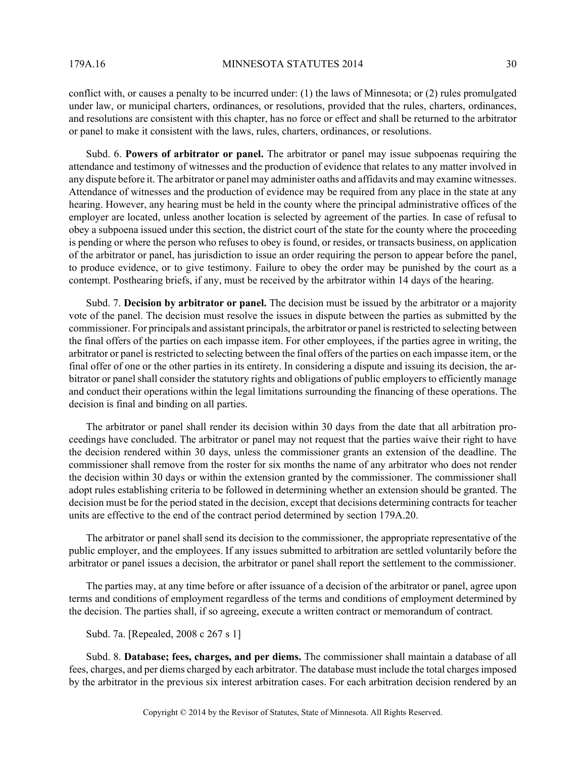conflict with, or causes a penalty to be incurred under: (1) the laws of Minnesota; or (2) rules promulgated under law, or municipal charters, ordinances, or resolutions, provided that the rules, charters, ordinances, and resolutions are consistent with this chapter, has no force or effect and shall be returned to the arbitrator or panel to make it consistent with the laws, rules, charters, ordinances, or resolutions.

Subd. 6. **Powers of arbitrator or panel.** The arbitrator or panel may issue subpoenas requiring the attendance and testimony of witnesses and the production of evidence that relates to any matter involved in any dispute before it. The arbitrator or panel may administer oaths and affidavits and may examine witnesses. Attendance of witnesses and the production of evidence may be required from any place in the state at any hearing. However, any hearing must be held in the county where the principal administrative offices of the employer are located, unless another location is selected by agreement of the parties. In case of refusal to obey a subpoena issued under this section, the district court of the state for the county where the proceeding is pending or where the person who refuses to obey is found, or resides, or transacts business, on application of the arbitrator or panel, has jurisdiction to issue an order requiring the person to appear before the panel, to produce evidence, or to give testimony. Failure to obey the order may be punished by the court as a contempt. Posthearing briefs, if any, must be received by the arbitrator within 14 days of the hearing.

Subd. 7. **Decision by arbitrator or panel.** The decision must be issued by the arbitrator or a majority vote of the panel. The decision must resolve the issues in dispute between the parties as submitted by the commissioner. For principals and assistant principals, the arbitrator or panel is restricted to selecting between the final offers of the parties on each impasse item. For other employees, if the parties agree in writing, the arbitrator or panel is restricted to selecting between the final offers of the parties on each impasse item, or the final offer of one or the other parties in its entirety. In considering a dispute and issuing its decision, the arbitrator or panel shall consider the statutory rights and obligations of public employers to efficiently manage and conduct their operations within the legal limitations surrounding the financing of these operations. The decision is final and binding on all parties.

The arbitrator or panel shall render its decision within 30 days from the date that all arbitration proceedings have concluded. The arbitrator or panel may not request that the parties waive their right to have the decision rendered within 30 days, unless the commissioner grants an extension of the deadline. The commissioner shall remove from the roster for six months the name of any arbitrator who does not render the decision within 30 days or within the extension granted by the commissioner. The commissioner shall adopt rules establishing criteria to be followed in determining whether an extension should be granted. The decision must be for the period stated in the decision, except that decisions determining contracts for teacher units are effective to the end of the contract period determined by section 179A.20.

The arbitrator or panel shall send its decision to the commissioner, the appropriate representative of the public employer, and the employees. If any issues submitted to arbitration are settled voluntarily before the arbitrator or panel issues a decision, the arbitrator or panel shall report the settlement to the commissioner.

The parties may, at any time before or after issuance of a decision of the arbitrator or panel, agree upon terms and conditions of employment regardless of the terms and conditions of employment determined by the decision. The parties shall, if so agreeing, execute a written contract or memorandum of contract.

### Subd. 7a. [Repealed, 2008 c 267 s 1]

Subd. 8. **Database; fees, charges, and per diems.** The commissioner shall maintain a database of all fees, charges, and per diems charged by each arbitrator. The database must include the total charges imposed by the arbitrator in the previous six interest arbitration cases. For each arbitration decision rendered by an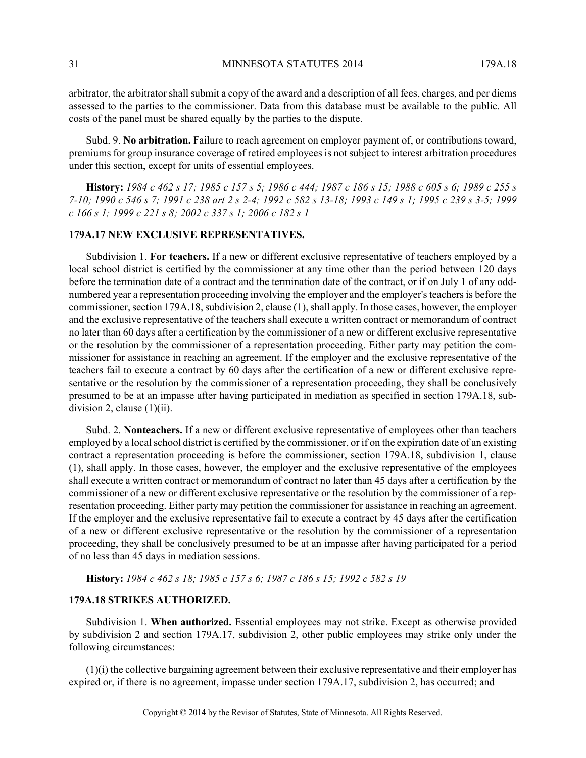arbitrator, the arbitrator shall submit a copy of the award and a description of all fees, charges, and per diems assessed to the parties to the commissioner. Data from this database must be available to the public. All costs of the panel must be shared equally by the parties to the dispute.

Subd. 9. **No arbitration.** Failure to reach agreement on employer payment of, or contributions toward, premiums for group insurance coverage of retired employees is not subject to interest arbitration procedures under this section, except for units of essential employees.

**History:** *1984 c 462 s 17; 1985 c 157 s 5; 1986 c 444; 1987 c 186 s 15; 1988 c 605 s 6; 1989 c 255 s 7-10; 1990 c 546 s 7; 1991 c 238 art 2 s 2-4; 1992 c 582 s 13-18; 1993 c 149 s 1; 1995 c 239 s 3-5; 1999 c 166 s 1; 1999 c 221 s 8; 2002 c 337 s 1; 2006 c 182 s 1*

#### **179A.17 NEW EXCLUSIVE REPRESENTATIVES.**

Subdivision 1. **For teachers.** If a new or different exclusive representative of teachers employed by a local school district is certified by the commissioner at any time other than the period between 120 days before the termination date of a contract and the termination date of the contract, or if on July 1 of any oddnumbered year a representation proceeding involving the employer and the employer's teachers is before the commissioner, section 179A.18, subdivision 2, clause (1), shall apply. In those cases, however, the employer and the exclusive representative of the teachers shall execute a written contract or memorandum of contract no later than 60 days after a certification by the commissioner of a new or different exclusive representative or the resolution by the commissioner of a representation proceeding. Either party may petition the commissioner for assistance in reaching an agreement. If the employer and the exclusive representative of the teachers fail to execute a contract by 60 days after the certification of a new or different exclusive representative or the resolution by the commissioner of a representation proceeding, they shall be conclusively presumed to be at an impasse after having participated in mediation as specified in section 179A.18, subdivision 2, clause  $(1)(ii)$ .

Subd. 2. **Nonteachers.** If a new or different exclusive representative of employees other than teachers employed by a local school district is certified by the commissioner, or if on the expiration date of an existing contract a representation proceeding is before the commissioner, section 179A.18, subdivision 1, clause (1), shall apply. In those cases, however, the employer and the exclusive representative of the employees shall execute a written contract or memorandum of contract no later than 45 days after a certification by the commissioner of a new or different exclusive representative or the resolution by the commissioner of a representation proceeding. Either party may petition the commissioner for assistance in reaching an agreement. If the employer and the exclusive representative fail to execute a contract by 45 days after the certification of a new or different exclusive representative or the resolution by the commissioner of a representation proceeding, they shall be conclusively presumed to be at an impasse after having participated for a period of no less than 45 days in mediation sessions.

**History:** *1984 c 462 s 18; 1985 c 157 s 6; 1987 c 186 s 15; 1992 c 582 s 19*

## **179A.18 STRIKES AUTHORIZED.**

Subdivision 1. **When authorized.** Essential employees may not strike. Except as otherwise provided by subdivision 2 and section 179A.17, subdivision 2, other public employees may strike only under the following circumstances:

 $(1)(i)$  the collective bargaining agreement between their exclusive representative and their employer has expired or, if there is no agreement, impasse under section 179A.17, subdivision 2, has occurred; and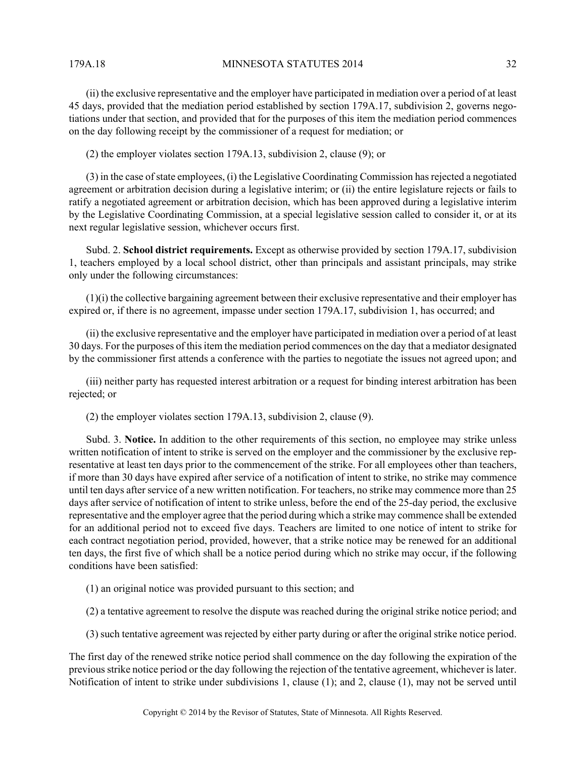179A.18 MINNESOTA STATUTES 2014 32

(ii) the exclusive representative and the employer have participated in mediation over a period of at least 45 days, provided that the mediation period established by section 179A.17, subdivision 2, governs negotiations under that section, and provided that for the purposes of this item the mediation period commences on the day following receipt by the commissioner of a request for mediation; or

(2) the employer violates section 179A.13, subdivision 2, clause (9); or

(3) in the case of state employees, (i) the Legislative Coordinating Commission has rejected a negotiated agreement or arbitration decision during a legislative interim; or (ii) the entire legislature rejects or fails to ratify a negotiated agreement or arbitration decision, which has been approved during a legislative interim by the Legislative Coordinating Commission, at a special legislative session called to consider it, or at its next regular legislative session, whichever occurs first.

Subd. 2. **School district requirements.** Except as otherwise provided by section 179A.17, subdivision 1, teachers employed by a local school district, other than principals and assistant principals, may strike only under the following circumstances:

 $(1)(i)$  the collective bargaining agreement between their exclusive representative and their employer has expired or, if there is no agreement, impasse under section 179A.17, subdivision 1, has occurred; and

(ii) the exclusive representative and the employer have participated in mediation over a period of at least 30 days. For the purposes of this item the mediation period commences on the day that a mediator designated by the commissioner first attends a conference with the parties to negotiate the issues not agreed upon; and

(iii) neither party has requested interest arbitration or a request for binding interest arbitration has been rejected; or

(2) the employer violates section 179A.13, subdivision 2, clause (9).

Subd. 3. **Notice.** In addition to the other requirements of this section, no employee may strike unless written notification of intent to strike is served on the employer and the commissioner by the exclusive representative at least ten days prior to the commencement of the strike. For all employees other than teachers, if more than 30 days have expired after service of a notification of intent to strike, no strike may commence until ten days after service of a new written notification. For teachers, no strike may commence more than 25 days after service of notification of intent to strike unless, before the end of the 25-day period, the exclusive representative and the employer agree that the period during which a strike may commence shall be extended for an additional period not to exceed five days. Teachers are limited to one notice of intent to strike for each contract negotiation period, provided, however, that a strike notice may be renewed for an additional ten days, the first five of which shall be a notice period during which no strike may occur, if the following conditions have been satisfied:

(1) an original notice was provided pursuant to this section; and

(2) a tentative agreement to resolve the dispute was reached during the original strike notice period; and

(3) such tentative agreement was rejected by either party during or after the original strike notice period.

The first day of the renewed strike notice period shall commence on the day following the expiration of the previous strike notice period or the day following the rejection of the tentative agreement, whichever is later. Notification of intent to strike under subdivisions 1, clause (1); and 2, clause (1), may not be served until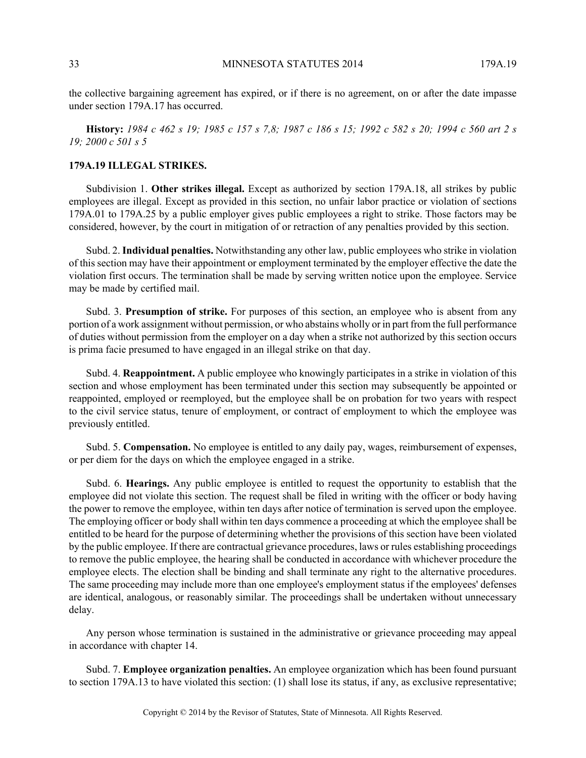the collective bargaining agreement has expired, or if there is no agreement, on or after the date impasse under section 179A.17 has occurred.

**History:** *1984 c 462 s 19; 1985 c 157 s 7,8; 1987 c 186 s 15; 1992 c 582 s 20; 1994 c 560 art 2 s 19; 2000 c 501 s 5*

## **179A.19 ILLEGAL STRIKES.**

Subdivision 1. **Other strikes illegal.** Except as authorized by section 179A.18, all strikes by public employees are illegal. Except as provided in this section, no unfair labor practice or violation of sections 179A.01 to 179A.25 by a public employer gives public employees a right to strike. Those factors may be considered, however, by the court in mitigation of or retraction of any penalties provided by this section.

Subd. 2. **Individual penalties.** Notwithstanding any other law, public employees who strike in violation of this section may have their appointment or employment terminated by the employer effective the date the violation first occurs. The termination shall be made by serving written notice upon the employee. Service may be made by certified mail.

Subd. 3. **Presumption of strike.** For purposes of this section, an employee who is absent from any portion of a work assignment without permission, or who abstains wholly or in part from the full performance of duties without permission from the employer on a day when a strike not authorized by this section occurs is prima facie presumed to have engaged in an illegal strike on that day.

Subd. 4. **Reappointment.** A public employee who knowingly participates in a strike in violation of this section and whose employment has been terminated under this section may subsequently be appointed or reappointed, employed or reemployed, but the employee shall be on probation for two years with respect to the civil service status, tenure of employment, or contract of employment to which the employee was previously entitled.

Subd. 5. **Compensation.** No employee is entitled to any daily pay, wages, reimbursement of expenses, or per diem for the days on which the employee engaged in a strike.

Subd. 6. **Hearings.** Any public employee is entitled to request the opportunity to establish that the employee did not violate this section. The request shall be filed in writing with the officer or body having the power to remove the employee, within ten days after notice of termination is served upon the employee. The employing officer or body shall within ten days commence a proceeding at which the employee shall be entitled to be heard for the purpose of determining whether the provisions of this section have been violated by the public employee. If there are contractual grievance procedures, laws or rules establishing proceedings to remove the public employee, the hearing shall be conducted in accordance with whichever procedure the employee elects. The election shall be binding and shall terminate any right to the alternative procedures. The same proceeding may include more than one employee's employment status if the employees' defenses are identical, analogous, or reasonably similar. The proceedings shall be undertaken without unnecessary delay.

Any person whose termination is sustained in the administrative or grievance proceeding may appeal in accordance with chapter 14.

Subd. 7. **Employee organization penalties.** An employee organization which has been found pursuant to section 179A.13 to have violated this section: (1) shall lose its status, if any, as exclusive representative;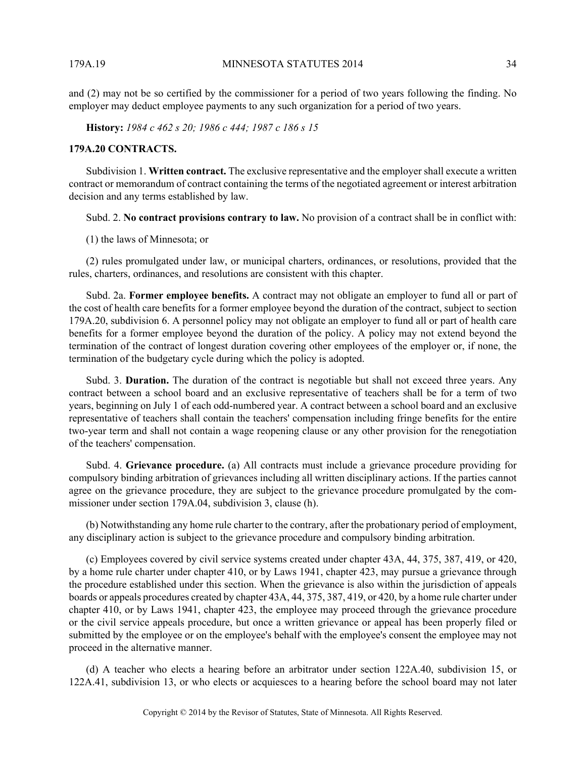and (2) may not be so certified by the commissioner for a period of two years following the finding. No employer may deduct employee payments to any such organization for a period of two years.

**History:** *1984 c 462 s 20; 1986 c 444; 1987 c 186 s 15*

#### **179A.20 CONTRACTS.**

Subdivision 1. **Written contract.** The exclusive representative and the employer shall execute a written contract or memorandum of contract containing the terms of the negotiated agreement or interest arbitration decision and any terms established by law.

Subd. 2. **No contract provisions contrary to law.** No provision of a contract shall be in conflict with:

(1) the laws of Minnesota; or

(2) rules promulgated under law, or municipal charters, ordinances, or resolutions, provided that the rules, charters, ordinances, and resolutions are consistent with this chapter.

Subd. 2a. **Former employee benefits.** A contract may not obligate an employer to fund all or part of the cost of health care benefits for a former employee beyond the duration of the contract, subject to section 179A.20, subdivision 6. A personnel policy may not obligate an employer to fund all or part of health care benefits for a former employee beyond the duration of the policy. A policy may not extend beyond the termination of the contract of longest duration covering other employees of the employer or, if none, the termination of the budgetary cycle during which the policy is adopted.

Subd. 3. **Duration.** The duration of the contract is negotiable but shall not exceed three years. Any contract between a school board and an exclusive representative of teachers shall be for a term of two years, beginning on July 1 of each odd-numbered year. A contract between a school board and an exclusive representative of teachers shall contain the teachers' compensation including fringe benefits for the entire two-year term and shall not contain a wage reopening clause or any other provision for the renegotiation of the teachers' compensation.

Subd. 4. **Grievance procedure.** (a) All contracts must include a grievance procedure providing for compulsory binding arbitration of grievances including all written disciplinary actions. If the parties cannot agree on the grievance procedure, they are subject to the grievance procedure promulgated by the commissioner under section 179A.04, subdivision 3, clause (h).

(b) Notwithstanding any home rule charter to the contrary, after the probationary period of employment, any disciplinary action is subject to the grievance procedure and compulsory binding arbitration.

(c) Employees covered by civil service systems created under chapter 43A, 44, 375, 387, 419, or 420, by a home rule charter under chapter 410, or by Laws 1941, chapter 423, may pursue a grievance through the procedure established under this section. When the grievance is also within the jurisdiction of appeals boards or appeals procedures created by chapter 43A, 44, 375, 387, 419, or 420, by a home rule charter under chapter 410, or by Laws 1941, chapter 423, the employee may proceed through the grievance procedure or the civil service appeals procedure, but once a written grievance or appeal has been properly filed or submitted by the employee or on the employee's behalf with the employee's consent the employee may not proceed in the alternative manner.

(d) A teacher who elects a hearing before an arbitrator under section 122A.40, subdivision 15, or 122A.41, subdivision 13, or who elects or acquiesces to a hearing before the school board may not later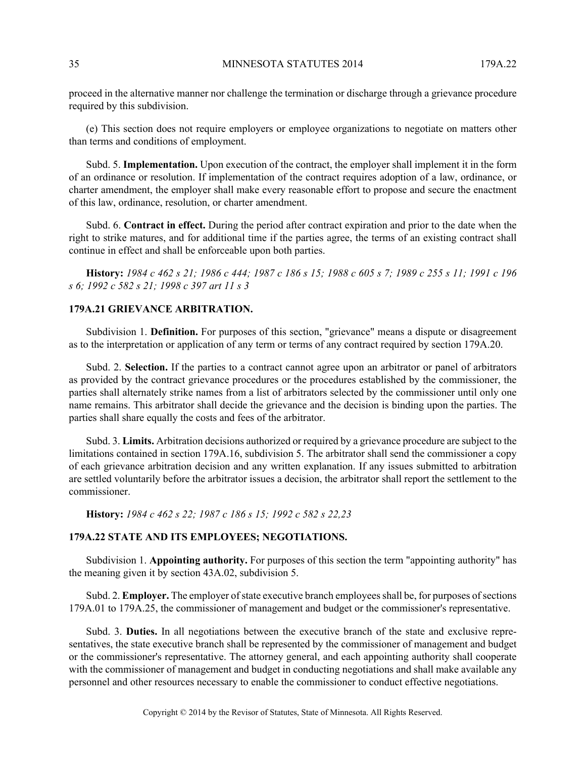proceed in the alternative manner nor challenge the termination or discharge through a grievance procedure required by this subdivision.

(e) This section does not require employers or employee organizations to negotiate on matters other than terms and conditions of employment.

Subd. 5. **Implementation.** Upon execution of the contract, the employer shall implement it in the form of an ordinance or resolution. If implementation of the contract requires adoption of a law, ordinance, or charter amendment, the employer shall make every reasonable effort to propose and secure the enactment of this law, ordinance, resolution, or charter amendment.

Subd. 6. **Contract in effect.** During the period after contract expiration and prior to the date when the right to strike matures, and for additional time if the parties agree, the terms of an existing contract shall continue in effect and shall be enforceable upon both parties.

**History:** *1984 c 462 s 21; 1986 c 444; 1987 c 186 s 15; 1988 c 605 s 7; 1989 c 255 s 11; 1991 c 196 s 6; 1992 c 582 s 21; 1998 c 397 art 11 s 3*

### **179A.21 GRIEVANCE ARBITRATION.**

Subdivision 1. **Definition.** For purposes of this section, "grievance" means a dispute or disagreement as to the interpretation or application of any term or terms of any contract required by section 179A.20.

Subd. 2. **Selection.** If the parties to a contract cannot agree upon an arbitrator or panel of arbitrators as provided by the contract grievance procedures or the procedures established by the commissioner, the parties shall alternately strike names from a list of arbitrators selected by the commissioner until only one name remains. This arbitrator shall decide the grievance and the decision is binding upon the parties. The parties shall share equally the costs and fees of the arbitrator.

Subd. 3. **Limits.** Arbitration decisions authorized or required by a grievance procedure are subject to the limitations contained in section 179A.16, subdivision 5. The arbitrator shall send the commissioner a copy of each grievance arbitration decision and any written explanation. If any issues submitted to arbitration are settled voluntarily before the arbitrator issues a decision, the arbitrator shall report the settlement to the commissioner.

**History:** *1984 c 462 s 22; 1987 c 186 s 15; 1992 c 582 s 22,23*

## **179A.22 STATE AND ITS EMPLOYEES; NEGOTIATIONS.**

Subdivision 1. **Appointing authority.** For purposes of this section the term "appointing authority" has the meaning given it by section 43A.02, subdivision 5.

Subd. 2. **Employer.** The employer of state executive branch employees shall be, for purposes of sections 179A.01 to 179A.25, the commissioner of management and budget or the commissioner's representative.

Subd. 3. **Duties.** In all negotiations between the executive branch of the state and exclusive representatives, the state executive branch shall be represented by the commissioner of management and budget or the commissioner's representative. The attorney general, and each appointing authority shall cooperate with the commissioner of management and budget in conducting negotiations and shall make available any personnel and other resources necessary to enable the commissioner to conduct effective negotiations.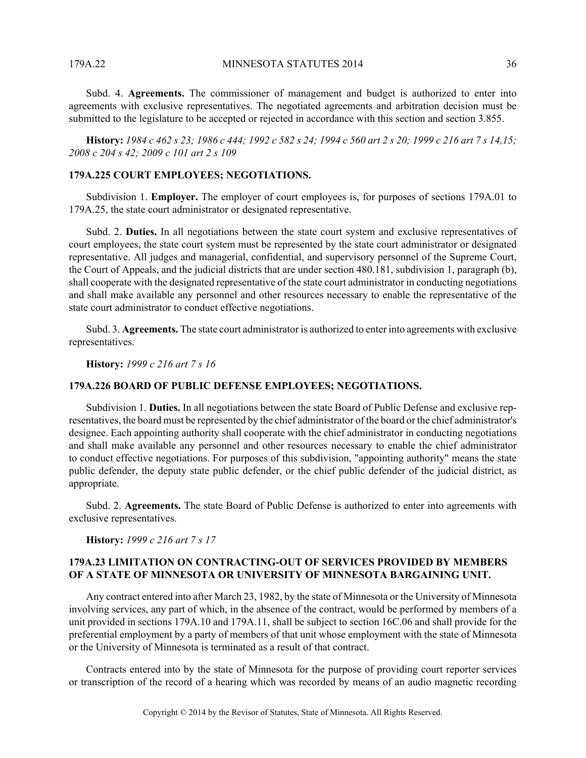179A.22 MINNESOTA STATUTES 2014 36

Subd. 4. **Agreements.** The commissioner of management and budget is authorized to enter into agreements with exclusive representatives. The negotiated agreements and arbitration decision must be submitted to the legislature to be accepted or rejected in accordance with this section and section 3.855.

**History:** *1984 c 462 s 23; 1986 c 444; 1992 c 582 s 24; 1994 c 560 art 2 s 20; 1999 c 216 art 7 s 14,15; 2008 c 204 s 42; 2009 c 101 art 2 s 109*

## **179A.225 COURT EMPLOYEES; NEGOTIATIONS.**

Subdivision 1. **Employer.** The employer of court employees is, for purposes of sections 179A.01 to 179A.25, the state court administrator or designated representative.

Subd. 2. **Duties.** In all negotiations between the state court system and exclusive representatives of court employees, the state court system must be represented by the state court administrator or designated representative. All judges and managerial, confidential, and supervisory personnel of the Supreme Court, the Court of Appeals, and the judicial districts that are under section 480.181, subdivision 1, paragraph (b), shall cooperate with the designated representative of the state court administrator in conducting negotiations and shall make available any personnel and other resources necessary to enable the representative of the state court administrator to conduct effective negotiations.

Subd. 3. **Agreements.** The state court administrator is authorized to enter into agreements with exclusive representatives.

**History:** *1999 c 216 art 7 s 16*

### **179A.226 BOARD OF PUBLIC DEFENSE EMPLOYEES; NEGOTIATIONS.**

Subdivision 1. **Duties.** In all negotiations between the state Board of Public Defense and exclusive representatives, the board must be represented by the chief administrator of the board or the chief administrator's designee. Each appointing authority shall cooperate with the chief administrator in conducting negotiations and shall make available any personnel and other resources necessary to enable the chief administrator to conduct effective negotiations. For purposes of this subdivision, "appointing authority" means the state public defender, the deputy state public defender, or the chief public defender of the judicial district, as appropriate.

Subd. 2. **Agreements.** The state Board of Public Defense is authorized to enter into agreements with exclusive representatives.

**History:** *1999 c 216 art 7 s 17*

## **179A.23 LIMITATION ON CONTRACTING-OUT OF SERVICES PROVIDED BY MEMBERS OF A STATE OF MINNESOTA OR UNIVERSITY OF MINNESOTA BARGAINING UNIT.**

Any contract entered into after March 23, 1982, by the state of Minnesota or the University of Minnesota involving services, any part of which, in the absence of the contract, would be performed by members of a unit provided in sections 179A.10 and 179A.11, shall be subject to section 16C.06 and shall provide for the preferential employment by a party of members of that unit whose employment with the state of Minnesota or the University of Minnesota is terminated as a result of that contract.

Contracts entered into by the state of Minnesota for the purpose of providing court reporter services or transcription of the record of a hearing which was recorded by means of an audio magnetic recording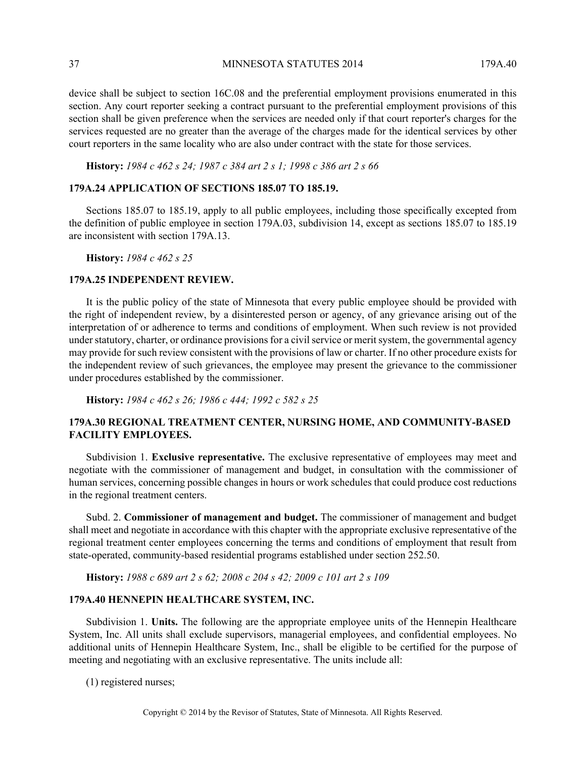37 MINNESOTA STATUTES 2014 179A.40

device shall be subject to section 16C.08 and the preferential employment provisions enumerated in this section. Any court reporter seeking a contract pursuant to the preferential employment provisions of this section shall be given preference when the services are needed only if that court reporter's charges for the services requested are no greater than the average of the charges made for the identical services by other court reporters in the same locality who are also under contract with the state for those services.

**History:** *1984 c 462 s 24; 1987 c 384 art 2 s 1; 1998 c 386 art 2 s 66*

#### **179A.24 APPLICATION OF SECTIONS 185.07 TO 185.19.**

Sections 185.07 to 185.19, apply to all public employees, including those specifically excepted from the definition of public employee in section 179A.03, subdivision 14, except as sections 185.07 to 185.19 are inconsistent with section 179A.13.

**History:** *1984 c 462 s 25*

#### **179A.25 INDEPENDENT REVIEW.**

It is the public policy of the state of Minnesota that every public employee should be provided with the right of independent review, by a disinterested person or agency, of any grievance arising out of the interpretation of or adherence to terms and conditions of employment. When such review is not provided under statutory, charter, or ordinance provisions for a civil service or merit system, the governmental agency may provide for such review consistent with the provisions of law or charter. If no other procedure exists for the independent review of such grievances, the employee may present the grievance to the commissioner under procedures established by the commissioner.

**History:** *1984 c 462 s 26; 1986 c 444; 1992 c 582 s 25*

## **179A.30 REGIONAL TREATMENT CENTER, NURSING HOME, AND COMMUNITY-BASED FACILITY EMPLOYEES.**

Subdivision 1. **Exclusive representative.** The exclusive representative of employees may meet and negotiate with the commissioner of management and budget, in consultation with the commissioner of human services, concerning possible changes in hours or work schedules that could produce cost reductions in the regional treatment centers.

Subd. 2. **Commissioner of management and budget.** The commissioner of management and budget shall meet and negotiate in accordance with this chapter with the appropriate exclusive representative of the regional treatment center employees concerning the terms and conditions of employment that result from state-operated, community-based residential programs established under section 252.50.

**History:** *1988 c 689 art 2 s 62; 2008 c 204 s 42; 2009 c 101 art 2 s 109*

## **179A.40 HENNEPIN HEALTHCARE SYSTEM, INC.**

Subdivision 1. **Units.** The following are the appropriate employee units of the Hennepin Healthcare System, Inc. All units shall exclude supervisors, managerial employees, and confidential employees. No additional units of Hennepin Healthcare System, Inc., shall be eligible to be certified for the purpose of meeting and negotiating with an exclusive representative. The units include all:

(1) registered nurses;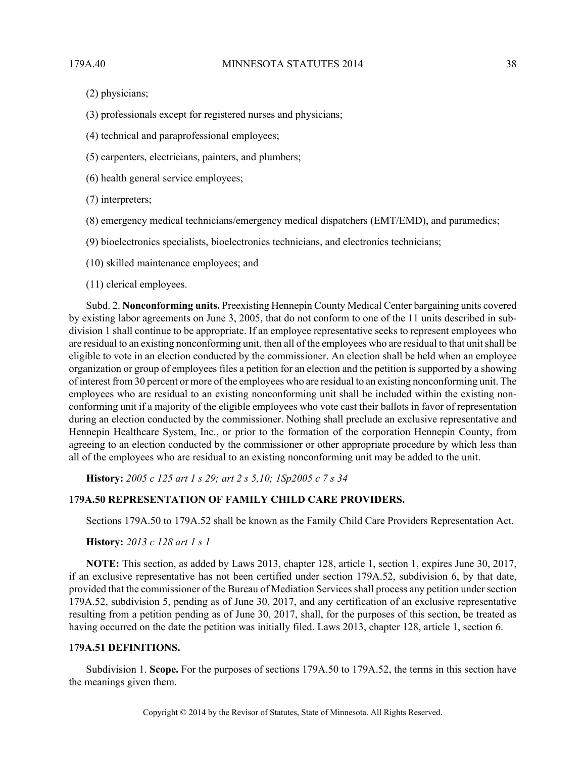- (2) physicians;
- (3) professionals except for registered nurses and physicians;
- (4) technical and paraprofessional employees;
- (5) carpenters, electricians, painters, and plumbers;
- (6) health general service employees;
- (7) interpreters;
- (8) emergency medical technicians/emergency medical dispatchers (EMT/EMD), and paramedics;
- (9) bioelectronics specialists, bioelectronics technicians, and electronics technicians;
- (10) skilled maintenance employees; and
- (11) clerical employees.

Subd. 2. **Nonconforming units.** Preexisting Hennepin County Medical Center bargaining units covered by existing labor agreements on June 3, 2005, that do not conform to one of the 11 units described in subdivision 1 shall continue to be appropriate. If an employee representative seeks to represent employees who are residual to an existing nonconforming unit, then all of the employees who are residual to that unit shall be eligible to vote in an election conducted by the commissioner. An election shall be held when an employee organization or group of employees files a petition for an election and the petition is supported by a showing of interest from 30 percent or more of the employees who are residual to an existing nonconforming unit. The employees who are residual to an existing nonconforming unit shall be included within the existing nonconforming unit if a majority of the eligible employees who vote cast their ballots in favor of representation during an election conducted by the commissioner. Nothing shall preclude an exclusive representative and Hennepin Healthcare System, Inc., or prior to the formation of the corporation Hennepin County, from agreeing to an election conducted by the commissioner or other appropriate procedure by which less than all of the employees who are residual to an existing nonconforming unit may be added to the unit.

**History:** *2005 c 125 art 1 s 29; art 2 s 5,10; 1Sp2005 c 7 s 34*

## **179A.50 REPRESENTATION OF FAMILY CHILD CARE PROVIDERS.**

Sections 179A.50 to 179A.52 shall be known as the Family Child Care Providers Representation Act.

#### **History:** *2013 c 128 art 1 s 1*

**NOTE:** This section, as added by Laws 2013, chapter 128, article 1, section 1, expires June 30, 2017, if an exclusive representative has not been certified under section 179A.52, subdivision 6, by that date, provided that the commissioner of the Bureau of Mediation Services shall process any petition under section 179A.52, subdivision 5, pending as of June 30, 2017, and any certification of an exclusive representative resulting from a petition pending as of June 30, 2017, shall, for the purposes of this section, be treated as having occurred on the date the petition was initially filed. Laws 2013, chapter 128, article 1, section 6.

### **179A.51 DEFINITIONS.**

Subdivision 1. **Scope.** For the purposes of sections 179A.50 to 179A.52, the terms in this section have the meanings given them.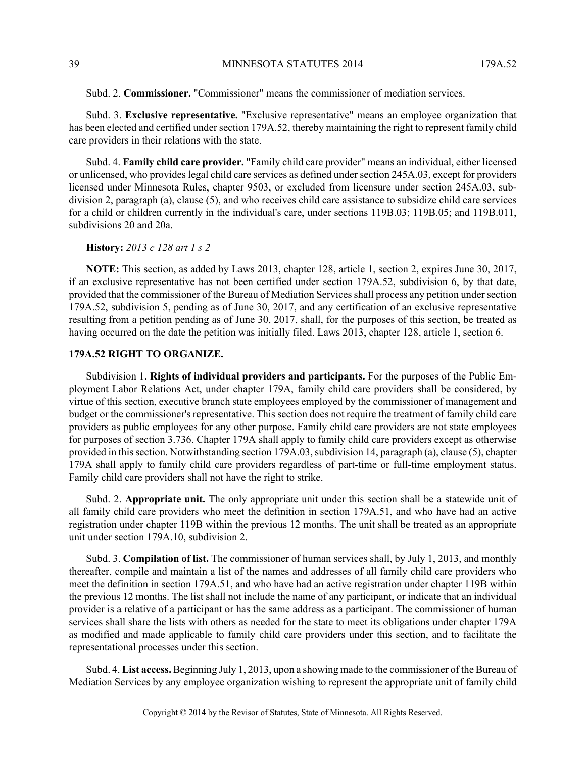Subd. 2. **Commissioner.** "Commissioner" means the commissioner of mediation services.

Subd. 3. **Exclusive representative.** "Exclusive representative" means an employee organization that has been elected and certified under section 179A.52, thereby maintaining the right to represent family child care providers in their relations with the state.

Subd. 4. **Family child care provider.** "Family child care provider" means an individual, either licensed or unlicensed, who provides legal child care services as defined under section 245A.03, except for providers licensed under Minnesota Rules, chapter 9503, or excluded from licensure under section 245A.03, subdivision 2, paragraph (a), clause (5), and who receives child care assistance to subsidize child care services for a child or children currently in the individual's care, under sections 119B.03; 119B.05; and 119B.011, subdivisions 20 and 20a.

#### **History:** *2013 c 128 art 1 s 2*

**NOTE:** This section, as added by Laws 2013, chapter 128, article 1, section 2, expires June 30, 2017, if an exclusive representative has not been certified under section 179A.52, subdivision 6, by that date, provided that the commissioner of the Bureau of Mediation Services shall process any petition under section 179A.52, subdivision 5, pending as of June 30, 2017, and any certification of an exclusive representative resulting from a petition pending as of June 30, 2017, shall, for the purposes of this section, be treated as having occurred on the date the petition was initially filed. Laws 2013, chapter 128, article 1, section 6.

## **179A.52 RIGHT TO ORGANIZE.**

Subdivision 1. **Rights of individual providers and participants.** For the purposes of the Public Employment Labor Relations Act, under chapter 179A, family child care providers shall be considered, by virtue of this section, executive branch state employees employed by the commissioner of management and budget or the commissioner's representative. This section does not require the treatment of family child care providers as public employees for any other purpose. Family child care providers are not state employees for purposes of section 3.736. Chapter 179A shall apply to family child care providers except as otherwise provided in this section. Notwithstanding section 179A.03, subdivision 14, paragraph (a), clause (5), chapter 179A shall apply to family child care providers regardless of part-time or full-time employment status. Family child care providers shall not have the right to strike.

Subd. 2. **Appropriate unit.** The only appropriate unit under this section shall be a statewide unit of all family child care providers who meet the definition in section 179A.51, and who have had an active registration under chapter 119B within the previous 12 months. The unit shall be treated as an appropriate unit under section 179A.10, subdivision 2.

Subd. 3. **Compilation of list.** The commissioner of human services shall, by July 1, 2013, and monthly thereafter, compile and maintain a list of the names and addresses of all family child care providers who meet the definition in section 179A.51, and who have had an active registration under chapter 119B within the previous 12 months. The list shall not include the name of any participant, or indicate that an individual provider is a relative of a participant or has the same address as a participant. The commissioner of human services shall share the lists with others as needed for the state to meet its obligations under chapter 179A as modified and made applicable to family child care providers under this section, and to facilitate the representational processes under this section.

Subd. 4. **List access.** Beginning July 1, 2013, upon a showing made to the commissioner of the Bureau of Mediation Services by any employee organization wishing to represent the appropriate unit of family child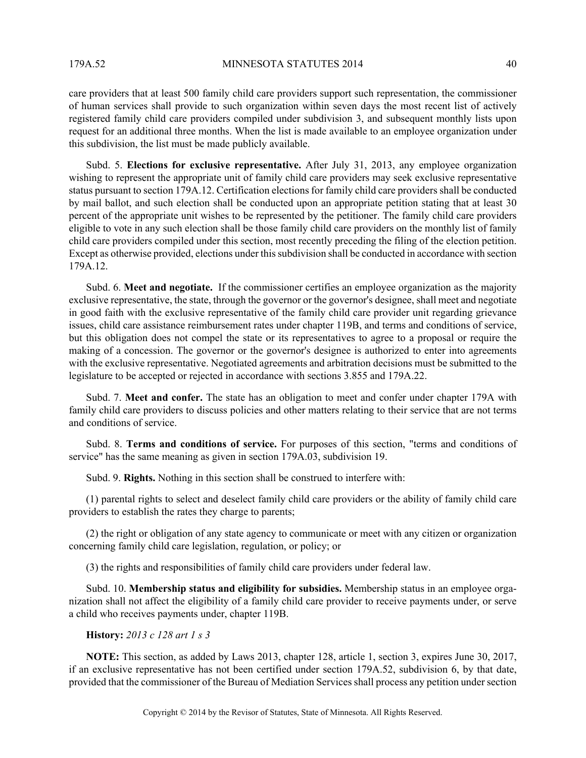care providers that at least 500 family child care providers support such representation, the commissioner of human services shall provide to such organization within seven days the most recent list of actively registered family child care providers compiled under subdivision 3, and subsequent monthly lists upon request for an additional three months. When the list is made available to an employee organization under this subdivision, the list must be made publicly available.

Subd. 5. **Elections for exclusive representative.** After July 31, 2013, any employee organization wishing to represent the appropriate unit of family child care providers may seek exclusive representative status pursuant to section 179A.12. Certification elections for family child care providers shall be conducted by mail ballot, and such election shall be conducted upon an appropriate petition stating that at least 30 percent of the appropriate unit wishes to be represented by the petitioner. The family child care providers eligible to vote in any such election shall be those family child care providers on the monthly list of family child care providers compiled under this section, most recently preceding the filing of the election petition. Except as otherwise provided, elections under this subdivision shall be conducted in accordance with section 179A.12.

Subd. 6. **Meet and negotiate.** If the commissioner certifies an employee organization as the majority exclusive representative, the state, through the governor or the governor's designee, shall meet and negotiate in good faith with the exclusive representative of the family child care provider unit regarding grievance issues, child care assistance reimbursement rates under chapter 119B, and terms and conditions of service, but this obligation does not compel the state or its representatives to agree to a proposal or require the making of a concession. The governor or the governor's designee is authorized to enter into agreements with the exclusive representative. Negotiated agreements and arbitration decisions must be submitted to the legislature to be accepted or rejected in accordance with sections 3.855 and 179A.22.

Subd. 7. **Meet and confer.** The state has an obligation to meet and confer under chapter 179A with family child care providers to discuss policies and other matters relating to their service that are not terms and conditions of service.

Subd. 8. **Terms and conditions of service.** For purposes of this section, "terms and conditions of service" has the same meaning as given in section 179A.03, subdivision 19.

Subd. 9. **Rights.** Nothing in this section shall be construed to interfere with:

(1) parental rights to select and deselect family child care providers or the ability of family child care providers to establish the rates they charge to parents;

(2) the right or obligation of any state agency to communicate or meet with any citizen or organization concerning family child care legislation, regulation, or policy; or

(3) the rights and responsibilities of family child care providers under federal law.

Subd. 10. **Membership status and eligibility for subsidies.** Membership status in an employee organization shall not affect the eligibility of a family child care provider to receive payments under, or serve a child who receives payments under, chapter 119B.

## **History:** *2013 c 128 art 1 s 3*

**NOTE:** This section, as added by Laws 2013, chapter 128, article 1, section 3, expires June 30, 2017, if an exclusive representative has not been certified under section 179A.52, subdivision 6, by that date, provided that the commissioner of the Bureau of Mediation Services shall process any petition under section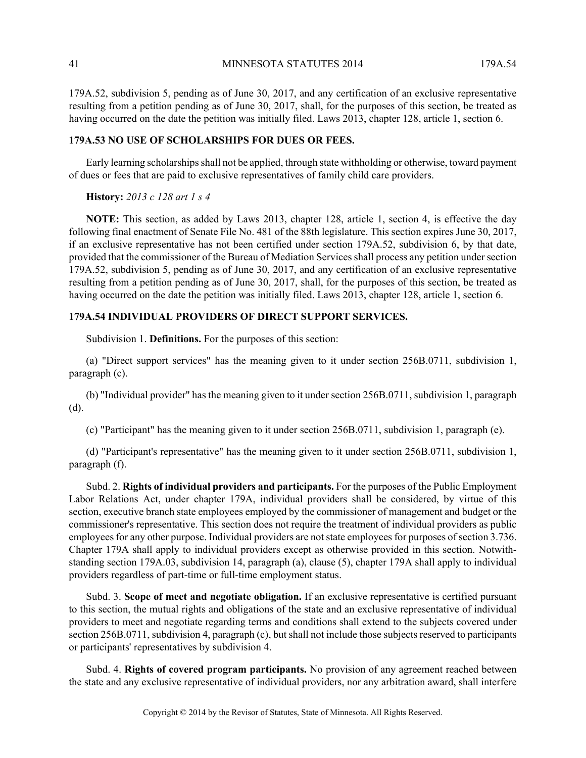41 MINNESOTA STATUTES 2014 179A.54

179A.52, subdivision 5, pending as of June 30, 2017, and any certification of an exclusive representative resulting from a petition pending as of June 30, 2017, shall, for the purposes of this section, be treated as having occurred on the date the petition was initially filed. Laws 2013, chapter 128, article 1, section 6.

## **179A.53 NO USE OF SCHOLARSHIPS FOR DUES OR FEES.**

Early learning scholarships shall not be applied, through state withholding or otherwise, toward payment of dues or fees that are paid to exclusive representatives of family child care providers.

#### **History:** *2013 c 128 art 1 s 4*

**NOTE:** This section, as added by Laws 2013, chapter 128, article 1, section 4, is effective the day following final enactment of Senate File No. 481 of the 88th legislature. This section expires June 30, 2017, if an exclusive representative has not been certified under section 179A.52, subdivision 6, by that date, provided that the commissioner of the Bureau of Mediation Services shall process any petition under section 179A.52, subdivision 5, pending as of June 30, 2017, and any certification of an exclusive representative resulting from a petition pending as of June 30, 2017, shall, for the purposes of this section, be treated as having occurred on the date the petition was initially filed. Laws 2013, chapter 128, article 1, section 6.

## **179A.54 INDIVIDUAL PROVIDERS OF DIRECT SUPPORT SERVICES.**

Subdivision 1. **Definitions.** For the purposes of this section:

(a) "Direct support services" has the meaning given to it under section 256B.0711, subdivision 1, paragraph (c).

(b) "Individual provider" has the meaning given to it under section 256B.0711, subdivision 1, paragraph (d).

(c) "Participant" has the meaning given to it under section 256B.0711, subdivision 1, paragraph (e).

(d) "Participant's representative" has the meaning given to it under section 256B.0711, subdivision 1, paragraph (f).

Subd. 2. **Rights of individual providers and participants.** For the purposes of the Public Employment Labor Relations Act, under chapter 179A, individual providers shall be considered, by virtue of this section, executive branch state employees employed by the commissioner of management and budget or the commissioner's representative. This section does not require the treatment of individual providers as public employees for any other purpose. Individual providers are not state employees for purposes of section 3.736. Chapter 179A shall apply to individual providers except as otherwise provided in this section. Notwithstanding section 179A.03, subdivision 14, paragraph (a), clause (5), chapter 179A shall apply to individual providers regardless of part-time or full-time employment status.

Subd. 3. **Scope of meet and negotiate obligation.** If an exclusive representative is certified pursuant to this section, the mutual rights and obligations of the state and an exclusive representative of individual providers to meet and negotiate regarding terms and conditions shall extend to the subjects covered under section 256B.0711, subdivision 4, paragraph (c), but shall not include those subjects reserved to participants or participants' representatives by subdivision 4.

Subd. 4. **Rights of covered program participants.** No provision of any agreement reached between the state and any exclusive representative of individual providers, nor any arbitration award, shall interfere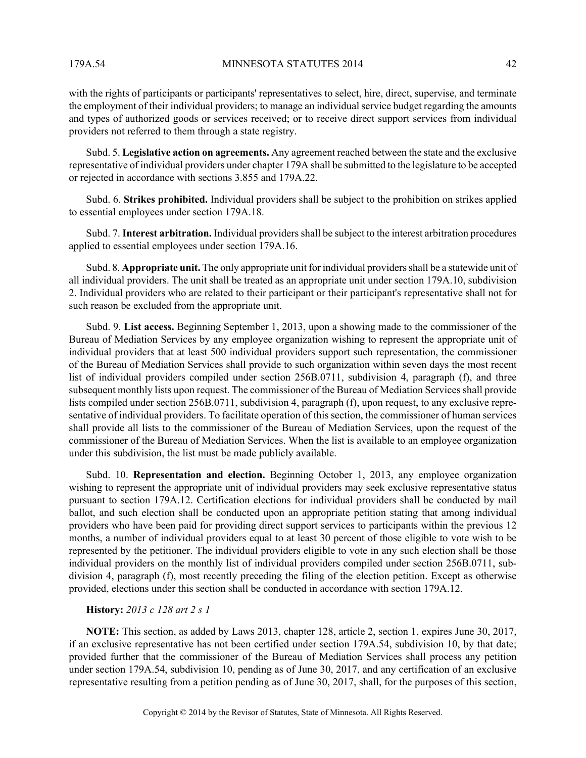179A.54 MINNESOTA STATUTES 2014 42

with the rights of participants or participants' representatives to select, hire, direct, supervise, and terminate the employment of their individual providers; to manage an individual service budget regarding the amounts and types of authorized goods or services received; or to receive direct support services from individual providers not referred to them through a state registry.

Subd. 5. **Legislative action on agreements.** Any agreement reached between the state and the exclusive representative of individual providers under chapter 179A shall be submitted to the legislature to be accepted or rejected in accordance with sections 3.855 and 179A.22.

Subd. 6. **Strikes prohibited.** Individual providers shall be subject to the prohibition on strikes applied to essential employees under section 179A.18.

Subd. 7. **Interest arbitration.** Individual providers shall be subject to the interest arbitration procedures applied to essential employees under section 179A.16.

Subd. 8. **Appropriate unit.** The only appropriate unit for individual providers shall be a statewide unit of all individual providers. The unit shall be treated as an appropriate unit under section 179A.10, subdivision 2. Individual providers who are related to their participant or their participant's representative shall not for such reason be excluded from the appropriate unit.

Subd. 9. **List access.** Beginning September 1, 2013, upon a showing made to the commissioner of the Bureau of Mediation Services by any employee organization wishing to represent the appropriate unit of individual providers that at least 500 individual providers support such representation, the commissioner of the Bureau of Mediation Services shall provide to such organization within seven days the most recent list of individual providers compiled under section 256B.0711, subdivision 4, paragraph (f), and three subsequent monthly lists upon request. The commissioner of the Bureau of Mediation Services shall provide lists compiled under section 256B.0711, subdivision 4, paragraph (f), upon request, to any exclusive representative of individual providers. To facilitate operation of this section, the commissioner of human services shall provide all lists to the commissioner of the Bureau of Mediation Services, upon the request of the commissioner of the Bureau of Mediation Services. When the list is available to an employee organization under this subdivision, the list must be made publicly available.

Subd. 10. **Representation and election.** Beginning October 1, 2013, any employee organization wishing to represent the appropriate unit of individual providers may seek exclusive representative status pursuant to section 179A.12. Certification elections for individual providers shall be conducted by mail ballot, and such election shall be conducted upon an appropriate petition stating that among individual providers who have been paid for providing direct support services to participants within the previous 12 months, a number of individual providers equal to at least 30 percent of those eligible to vote wish to be represented by the petitioner. The individual providers eligible to vote in any such election shall be those individual providers on the monthly list of individual providers compiled under section 256B.0711, subdivision 4, paragraph (f), most recently preceding the filing of the election petition. Except as otherwise provided, elections under this section shall be conducted in accordance with section 179A.12.

**History:** *2013 c 128 art 2 s 1*

**NOTE:** This section, as added by Laws 2013, chapter 128, article 2, section 1, expires June 30, 2017, if an exclusive representative has not been certified under section 179A.54, subdivision 10, by that date; provided further that the commissioner of the Bureau of Mediation Services shall process any petition under section 179A.54, subdivision 10, pending as of June 30, 2017, and any certification of an exclusive representative resulting from a petition pending as of June 30, 2017, shall, for the purposes of this section,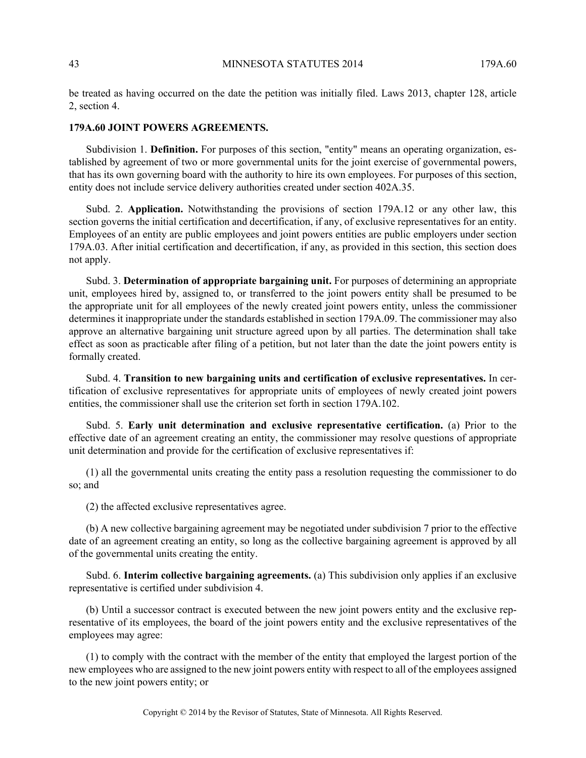be treated as having occurred on the date the petition was initially filed. Laws 2013, chapter 128, article 2, section 4.

#### **179A.60 JOINT POWERS AGREEMENTS.**

Subdivision 1. **Definition.** For purposes of this section, "entity" means an operating organization, established by agreement of two or more governmental units for the joint exercise of governmental powers, that has its own governing board with the authority to hire its own employees. For purposes of this section, entity does not include service delivery authorities created under section 402A.35.

Subd. 2. **Application.** Notwithstanding the provisions of section 179A.12 or any other law, this section governs the initial certification and decertification, if any, of exclusive representatives for an entity. Employees of an entity are public employees and joint powers entities are public employers under section 179A.03. After initial certification and decertification, if any, as provided in this section, this section does not apply.

Subd. 3. **Determination of appropriate bargaining unit.** For purposes of determining an appropriate unit, employees hired by, assigned to, or transferred to the joint powers entity shall be presumed to be the appropriate unit for all employees of the newly created joint powers entity, unless the commissioner determines it inappropriate under the standards established in section 179A.09. The commissioner may also approve an alternative bargaining unit structure agreed upon by all parties. The determination shall take effect as soon as practicable after filing of a petition, but not later than the date the joint powers entity is formally created.

Subd. 4. **Transition to new bargaining units and certification of exclusive representatives.** In certification of exclusive representatives for appropriate units of employees of newly created joint powers entities, the commissioner shall use the criterion set forth in section 179A.102.

Subd. 5. **Early unit determination and exclusive representative certification.** (a) Prior to the effective date of an agreement creating an entity, the commissioner may resolve questions of appropriate unit determination and provide for the certification of exclusive representatives if:

(1) all the governmental units creating the entity pass a resolution requesting the commissioner to do so; and

(2) the affected exclusive representatives agree.

(b) A new collective bargaining agreement may be negotiated under subdivision 7 prior to the effective date of an agreement creating an entity, so long as the collective bargaining agreement is approved by all of the governmental units creating the entity.

Subd. 6. **Interim collective bargaining agreements.** (a) This subdivision only applies if an exclusive representative is certified under subdivision 4.

(b) Until a successor contract is executed between the new joint powers entity and the exclusive representative of its employees, the board of the joint powers entity and the exclusive representatives of the employees may agree:

(1) to comply with the contract with the member of the entity that employed the largest portion of the new employees who are assigned to the new joint powers entity with respect to all of the employees assigned to the new joint powers entity; or